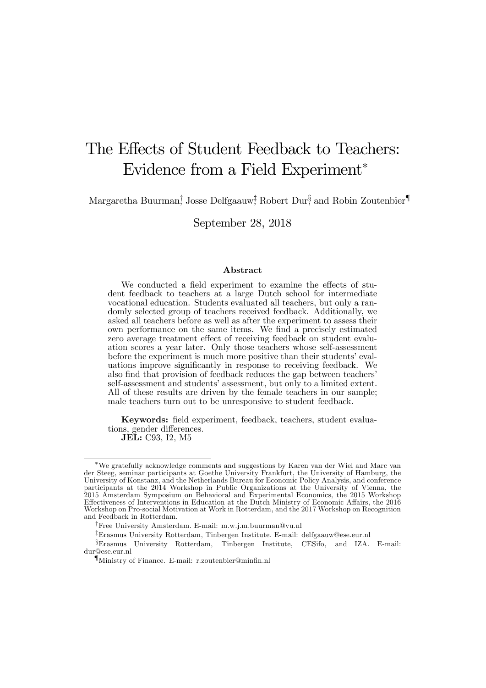# The Effects of Student Feedback to Teachers: Evidence from a Field Experiment

Margaretha Buurman, Josse Delfgaauw; Robert Dur, and Robin Zoutenbier

September 28, 2018

#### Abstract

We conducted a field experiment to examine the effects of student feedback to teachers at a large Dutch school for intermediate vocational education. Students evaluated all teachers, but only a randomly selected group of teachers received feedback. Additionally, we asked all teachers before as well as after the experiment to assess their own performance on the same items. We find a precisely estimated zero average treatment effect of receiving feedback on student evaluation scores a year later. Only those teachers whose self-assessment before the experiment is much more positive than their students' evaluations improve significantly in response to receiving feedback. We also find that provision of feedback reduces the gap between teachers' self-assessment and students' assessment, but only to a limited extent. All of these results are driven by the female teachers in our sample; male teachers turn out to be unresponsive to student feedback.

Keywords: field experiment, feedback, teachers, student evaluations, gender differences. JEL: C93, I2, M5

We gratefully acknowledge comments and suggestions by Karen van der Wiel and Marc van der Steeg, seminar participants at Goethe University Frankfurt, the University of Hamburg, the University of Konstanz, and the Netherlands Bureau for Economic Policy Analysis, and conference participants at the 2014 Workshop in Public Organizations at the University of Vienna, the 2015 Amsterdam Symposium on Behavioral and Experimental Economics, the 2015 Workshop Effectiveness of Interventions in Education at the Dutch Ministry of Economic Affairs, the 2016 Workshop on Pro-social Motivation at Work in Rotterdam, and the 2017 Workshop on Recognition and Feedback in Rotterdam.

<sup>&</sup>lt;sup>†</sup>Free University Amsterdam. E-mail: m.w.j.m.buurman@vu.nl

zErasmus University Rotterdam, Tinbergen Institute. E-mail: delfgaauw@ese.eur.nl

 $\S$ Erasmus University Rotterdam, Tinbergen Institute, CESifo, and IZA. E-mail: dur@ese.eur.nl

 $\P$ Ministry of Finance. E-mail: r.zoutenbier@minfin.nl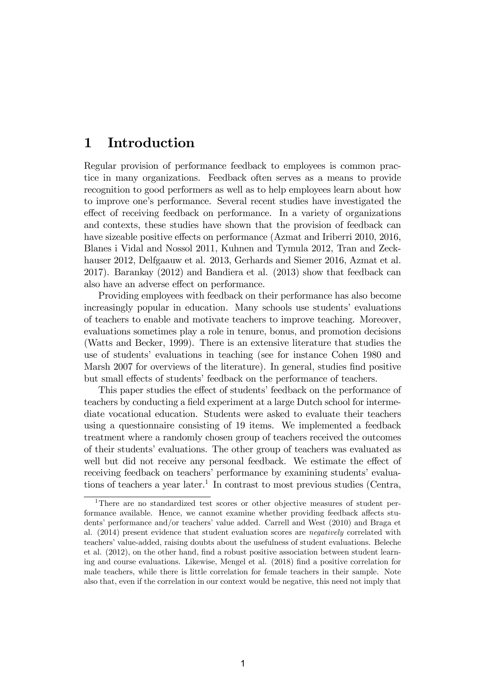### 1 Introduction

Regular provision of performance feedback to employees is common practice in many organizations. Feedback often serves as a means to provide recognition to good performers as well as to help employees learn about how to improve oneís performance. Several recent studies have investigated the effect of receiving feedback on performance. In a variety of organizations and contexts, these studies have shown that the provision of feedback can have sizeable positive effects on performance (Azmat and Iriberri 2010, 2016, Blanes i Vidal and Nossol 2011, Kuhnen and Tymula 2012, Tran and Zeckhauser 2012, Delfgaauw et al. 2013, Gerhards and Siemer 2016, Azmat et al. 2017). Barankay (2012) and Bandiera et al. (2013) show that feedback can also have an adverse effect on performance.

Providing employees with feedback on their performance has also become increasingly popular in education. Many schools use students' evaluations of teachers to enable and motivate teachers to improve teaching. Moreover, evaluations sometimes play a role in tenure, bonus, and promotion decisions (Watts and Becker, 1999). There is an extensive literature that studies the use of studentsí evaluations in teaching (see for instance Cohen 1980 and Marsh 2007 for overviews of the literature). In general, studies find positive but small effects of students' feedback on the performance of teachers.

This paper studies the effect of students' feedback on the performance of teachers by conducting a field experiment at a large Dutch school for intermediate vocational education. Students were asked to evaluate their teachers using a questionnaire consisting of 19 items. We implemented a feedback treatment where a randomly chosen group of teachers received the outcomes of their students' evaluations. The other group of teachers was evaluated as well but did not receive any personal feedback. We estimate the effect of receiving feedback on teachers' performance by examining students' evaluations of teachers a year later.<sup>1</sup> In contrast to most previous studies (Centra,

<sup>1</sup>There are no standardized test scores or other objective measures of student performance available. Hence, we cannot examine whether providing feedback affects students' performance and/or teachers' value added. Carrell and West  $(2010)$  and Braga et al. (2014) present evidence that student evaluation scores are negatively correlated with teachers' value-added, raising doubts about the usefulness of student evaluations. Beleche et al.  $(2012)$ , on the other hand, find a robust positive association between student learning and course evaluations. Likewise, Mengel et al. (2018) find a positive correlation for male teachers, while there is little correlation for female teachers in their sample. Note also that, even if the correlation in our context would be negative, this need not imply that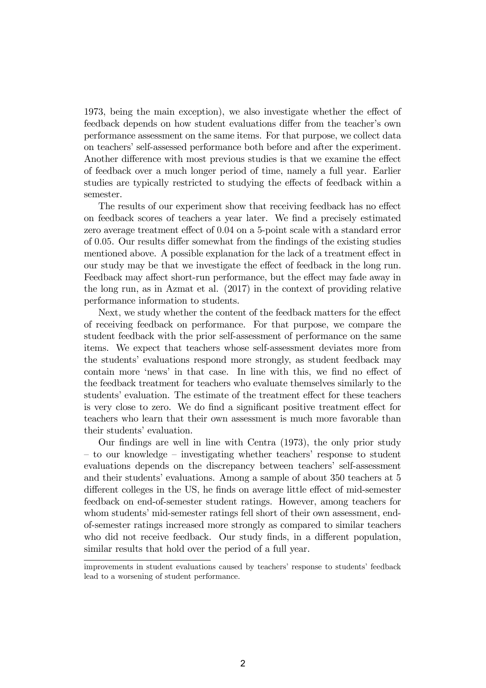1973, being the main exception), we also investigate whether the effect of feedback depends on how student evaluations differ from the teacher's own performance assessment on the same items. For that purpose, we collect data on teachers' self-assessed performance both before and after the experiment. Another difference with most previous studies is that we examine the effect of feedback over a much longer period of time, namely a full year. Earlier studies are typically restricted to studying the effects of feedback within a semester.

The results of our experiment show that receiving feedback has no effect on feedback scores of teachers a year later. We find a precisely estimated zero average treatment effect of 0.04 on a 5-point scale with a standard error of 0.05. Our results differ somewhat from the findings of the existing studies mentioned above. A possible explanation for the lack of a treatment effect in our study may be that we investigate the effect of feedback in the long run. Feedback may affect short-run performance, but the effect may fade away in the long run, as in Azmat et al. (2017) in the context of providing relative performance information to students.

Next, we study whether the content of the feedback matters for the effect of receiving feedback on performance. For that purpose, we compare the student feedback with the prior self-assessment of performance on the same items. We expect that teachers whose self-assessment deviates more from the studentsí evaluations respond more strongly, as student feedback may contain more 'news' in that case. In line with this, we find no effect of the feedback treatment for teachers who evaluate themselves similarly to the students' evaluation. The estimate of the treatment effect for these teachers is very close to zero. We do find a significant positive treatment effect for teachers who learn that their own assessment is much more favorable than their students' evaluation.

Our findings are well in line with Centra (1973), the only prior study  $\sim$  to our knowledge  $\sim$  investigating whether teachers' response to student evaluations depends on the discrepancy between teachers' self-assessment and their students' evaluations. Among a sample of about 350 teachers at 5 different colleges in the US, he finds on average little effect of mid-semester feedback on end-of-semester student ratings. However, among teachers for whom students' mid-semester ratings fell short of their own assessment, endof-semester ratings increased more strongly as compared to similar teachers who did not receive feedback. Our study finds, in a different population, similar results that hold over the period of a full year.

improvements in student evaluations caused by teachers' response to students' feedback lead to a worsening of student performance.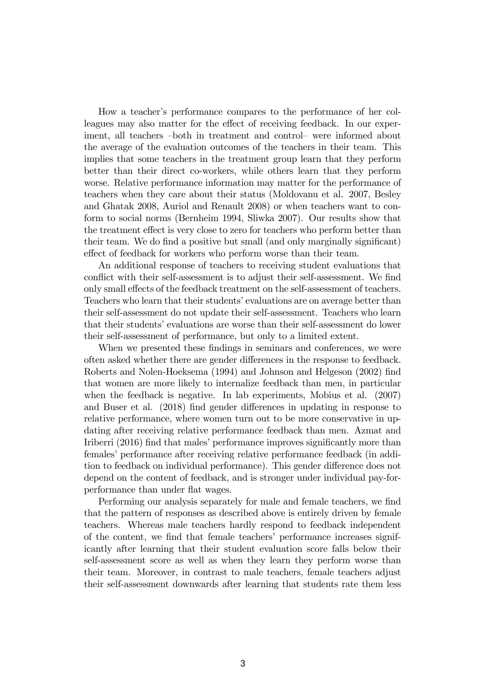How a teacher's performance compares to the performance of her colleagues may also matter for the effect of receiving feedback. In our experiment, all teachers  $-both$  in treatment and control— were informed about the average of the evaluation outcomes of the teachers in their team. This implies that some teachers in the treatment group learn that they perform better than their direct co-workers, while others learn that they perform worse. Relative performance information may matter for the performance of teachers when they care about their status (Moldovanu et al. 2007, Besley and Ghatak 2008, Auriol and Renault 2008) or when teachers want to conform to social norms (Bernheim 1994, Sliwka 2007). Our results show that the treatment effect is very close to zero for teachers who perform better than their team. We do find a positive but small (and only marginally significant) effect of feedback for workers who perform worse than their team.

An additional response of teachers to receiving student evaluations that conflict with their self-assessment is to adjust their self-assessment. We find only small effects of the feedback treatment on the self-assessment of teachers. Teachers who learn that their students' evaluations are on average better than their self-assessment do not update their self-assessment. Teachers who learn that their students' evaluations are worse than their self-assessment do lower their self-assessment of performance, but only to a limited extent.

When we presented these findings in seminars and conferences, we were often asked whether there are gender differences in the response to feedback. Roberts and Nolen-Hoeksema (1994) and Johnson and Helgeson (2002) Önd that women are more likely to internalize feedback than men, in particular when the feedback is negative. In lab experiments, Mobius et al. (2007) and Buser et al. (2018) find gender differences in updating in response to relative performance, where women turn out to be more conservative in updating after receiving relative performance feedback than men. Azmat and Iriberri (2016) find that males' performance improves significantly more than females' performance after receiving relative performance feedback (in addition to feedback on individual performance). This gender difference does not depend on the content of feedback, and is stronger under individual pay-forperformance than under flat wages.

Performing our analysis separately for male and female teachers, we find that the pattern of responses as described above is entirely driven by female teachers. Whereas male teachers hardly respond to feedback independent of the content, we find that female teachers' performance increases significantly after learning that their student evaluation score falls below their self-assessment score as well as when they learn they perform worse than their team. Moreover, in contrast to male teachers, female teachers adjust their self-assessment downwards after learning that students rate them less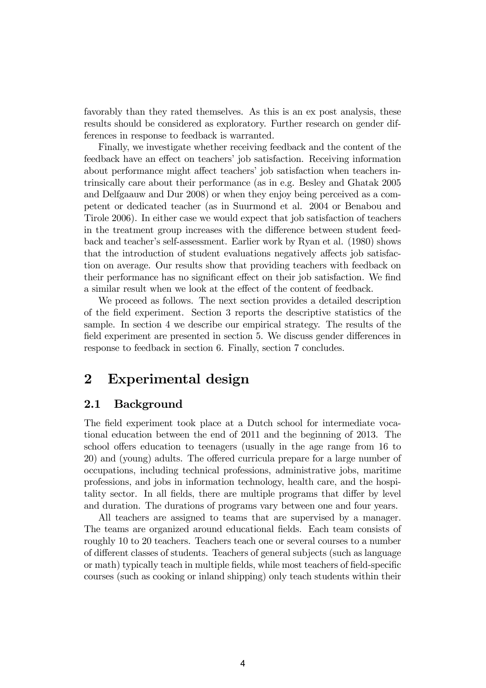favorably than they rated themselves. As this is an ex post analysis, these results should be considered as exploratory. Further research on gender differences in response to feedback is warranted.

Finally, we investigate whether receiving feedback and the content of the feedback have an effect on teachers' job satisfaction. Receiving information about performance might affect teachers' job satisfaction when teachers intrinsically care about their performance (as in e.g. Besley and Ghatak 2005 and Delfgaauw and Dur 2008) or when they enjoy being perceived as a competent or dedicated teacher (as in Suurmond et al. 2004 or Benabou and Tirole 2006). In either case we would expect that job satisfaction of teachers in the treatment group increases with the difference between student feedback and teacherís self-assessment. Earlier work by Ryan et al. (1980) shows that the introduction of student evaluations negatively affects job satisfaction on average. Our results show that providing teachers with feedback on their performance has no significant effect on their job satisfaction. We find a similar result when we look at the effect of the content of feedback.

We proceed as follows. The next section provides a detailed description of the Öeld experiment. Section 3 reports the descriptive statistics of the sample. In section 4 we describe our empirical strategy. The results of the field experiment are presented in section 5. We discuss gender differences in response to feedback in section 6. Finally, section 7 concludes.

#### 2 Experimental design

#### 2.1 Background

The field experiment took place at a Dutch school for intermediate vocational education between the end of 2011 and the beginning of 2013. The school offers education to teenagers (usually in the age range from 16 to 20) and (young) adults. The offered curricula prepare for a large number of occupations, including technical professions, administrative jobs, maritime professions, and jobs in information technology, health care, and the hospitality sector. In all fields, there are multiple programs that differ by level and duration. The durations of programs vary between one and four years.

All teachers are assigned to teams that are supervised by a manager. The teams are organized around educational fields. Each team consists of roughly 10 to 20 teachers. Teachers teach one or several courses to a number of different classes of students. Teachers of general subjects (such as language or math) typically teach in multiple fields, while most teachers of field-specific courses (such as cooking or inland shipping) only teach students within their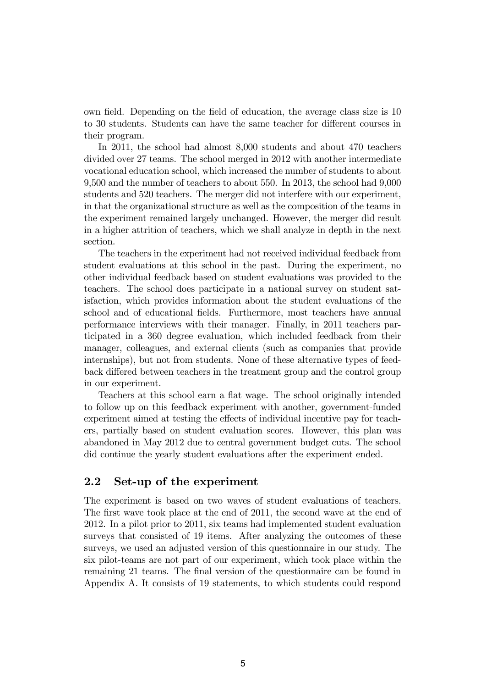own field. Depending on the field of education, the average class size is 10 to 30 students. Students can have the same teacher for different courses in their program.

In 2011, the school had almost 8,000 students and about 470 teachers divided over 27 teams. The school merged in 2012 with another intermediate vocational education school, which increased the number of students to about 9,500 and the number of teachers to about 550. In 2013, the school had 9,000 students and 520 teachers. The merger did not interfere with our experiment, in that the organizational structure as well as the composition of the teams in the experiment remained largely unchanged. However, the merger did result in a higher attrition of teachers, which we shall analyze in depth in the next section.

The teachers in the experiment had not received individual feedback from student evaluations at this school in the past. During the experiment, no other individual feedback based on student evaluations was provided to the teachers. The school does participate in a national survey on student satisfaction, which provides information about the student evaluations of the school and of educational fields. Furthermore, most teachers have annual performance interviews with their manager. Finally, in 2011 teachers participated in a 360 degree evaluation, which included feedback from their manager, colleagues, and external clients (such as companies that provide internships), but not from students. None of these alternative types of feedback differed between teachers in the treatment group and the control group in our experiment.

Teachers at this school earn a flat wage. The school originally intended to follow up on this feedback experiment with another, government-funded experiment aimed at testing the effects of individual incentive pay for teachers, partially based on student evaluation scores. However, this plan was abandoned in May 2012 due to central government budget cuts. The school did continue the yearly student evaluations after the experiment ended.

#### 2.2 Set-up of the experiment

The experiment is based on two waves of student evaluations of teachers. The first wave took place at the end of 2011, the second wave at the end of 2012. In a pilot prior to 2011, six teams had implemented student evaluation surveys that consisted of 19 items. After analyzing the outcomes of these surveys, we used an adjusted version of this questionnaire in our study. The six pilot-teams are not part of our experiment, which took place within the remaining 21 teams. The final version of the questionnaire can be found in Appendix A. It consists of 19 statements, to which students could respond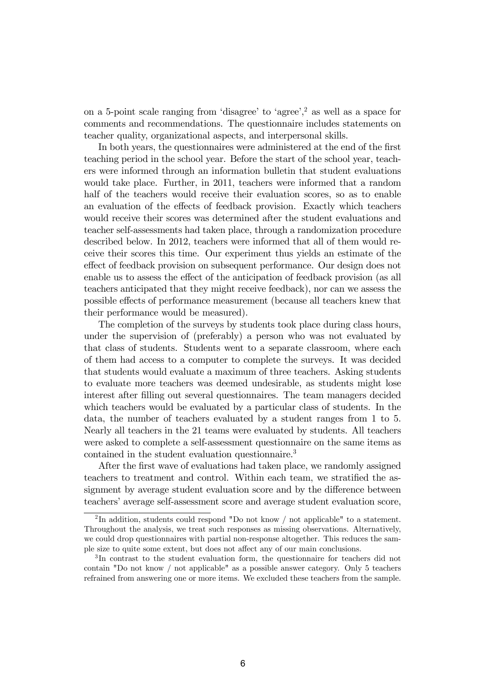on a 5-point scale ranging from 'disagree' to 'agree',<sup>2</sup> as well as a space for comments and recommendations. The questionnaire includes statements on teacher quality, organizational aspects, and interpersonal skills.

In both years, the questionnaires were administered at the end of the first teaching period in the school year. Before the start of the school year, teachers were informed through an information bulletin that student evaluations would take place. Further, in 2011, teachers were informed that a random half of the teachers would receive their evaluation scores, so as to enable an evaluation of the effects of feedback provision. Exactly which teachers would receive their scores was determined after the student evaluations and teacher self-assessments had taken place, through a randomization procedure described below. In 2012, teachers were informed that all of them would receive their scores this time. Our experiment thus yields an estimate of the effect of feedback provision on subsequent performance. Our design does not enable us to assess the effect of the anticipation of feedback provision (as all teachers anticipated that they might receive feedback), nor can we assess the possible effects of performance measurement (because all teachers knew that their performance would be measured).

The completion of the surveys by students took place during class hours, under the supervision of (preferably) a person who was not evaluated by that class of students. Students went to a separate classroom, where each of them had access to a computer to complete the surveys. It was decided that students would evaluate a maximum of three teachers. Asking students to evaluate more teachers was deemed undesirable, as students might lose interest after filling out several questionnaires. The team managers decided which teachers would be evaluated by a particular class of students. In the data, the number of teachers evaluated by a student ranges from 1 to 5. Nearly all teachers in the 21 teams were evaluated by students. All teachers were asked to complete a self-assessment questionnaire on the same items as contained in the student evaluation questionnaire.<sup>3</sup>

After the first wave of evaluations had taken place, we randomly assigned teachers to treatment and control. Within each team, we stratified the assignment by average student evaluation score and by the difference between teachers' average self-assessment score and average student evaluation score,

<sup>&</sup>lt;sup>2</sup>In addition, students could respond "Do not know / not applicable" to a statement. Throughout the analysis, we treat such responses as missing observations. Alternatively, we could drop questionnaires with partial non-response altogether. This reduces the sample size to quite some extent, but does not affect any of our main conclusions.

<sup>3</sup> In contrast to the student evaluation form, the questionnaire for teachers did not contain "Do not know / not applicable" as a possible answer category. Only 5 teachers refrained from answering one or more items. We excluded these teachers from the sample.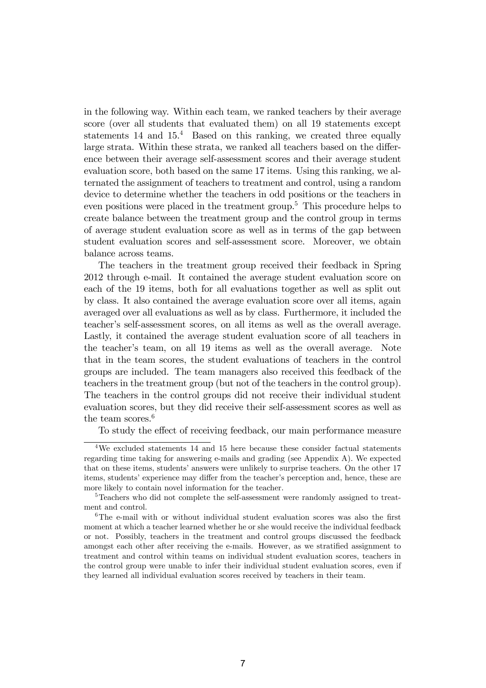in the following way. Within each team, we ranked teachers by their average score (over all students that evaluated them) on all 19 statements except statements  $14$  and  $15<sup>4</sup>$  Based on this ranking, we created three equally large strata. Within these strata, we ranked all teachers based on the difference between their average self-assessment scores and their average student evaluation score, both based on the same 17 items. Using this ranking, we alternated the assignment of teachers to treatment and control, using a random device to determine whether the teachers in odd positions or the teachers in even positions were placed in the treatment group.<sup>5</sup> This procedure helps to create balance between the treatment group and the control group in terms of average student evaluation score as well as in terms of the gap between student evaluation scores and self-assessment score. Moreover, we obtain balance across teams.

The teachers in the treatment group received their feedback in Spring 2012 through e-mail. It contained the average student evaluation score on each of the 19 items, both for all evaluations together as well as split out by class. It also contained the average evaluation score over all items, again averaged over all evaluations as well as by class. Furthermore, it included the teacherís self-assessment scores, on all items as well as the overall average. Lastly, it contained the average student evaluation score of all teachers in the teacherís team, on all 19 items as well as the overall average. Note that in the team scores, the student evaluations of teachers in the control groups are included. The team managers also received this feedback of the teachers in the treatment group (but not of the teachers in the control group). The teachers in the control groups did not receive their individual student evaluation scores, but they did receive their self-assessment scores as well as the team scores.<sup>6</sup>

To study the effect of receiving feedback, our main performance measure

<sup>4</sup>We excluded statements 14 and 15 here because these consider factual statements regarding time taking for answering e-mails and grading (see Appendix A). We expected that on these items, students' answers were unlikely to surprise teachers. On the other 17 items, students' experience may differ from the teacher's perception and, hence, these are more likely to contain novel information for the teacher.

<sup>5</sup>Teachers who did not complete the self-assessment were randomly assigned to treatment and control.

 $6$ The e-mail with or without individual student evaluation scores was also the first moment at which a teacher learned whether he or she would receive the individual feedback or not. Possibly, teachers in the treatment and control groups discussed the feedback amongst each other after receiving the e-mails. However, as we stratified assignment to treatment and control within teams on individual student evaluation scores, teachers in the control group were unable to infer their individual student evaluation scores, even if they learned all individual evaluation scores received by teachers in their team.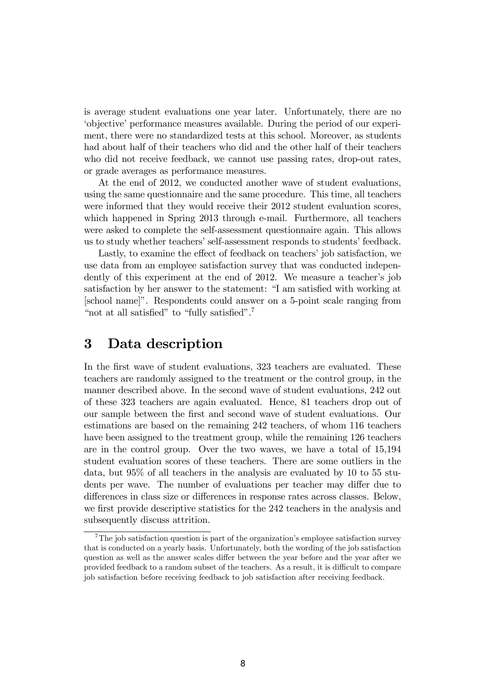is average student evaluations one year later. Unfortunately, there are no ëobjectiveíperformance measures available. During the period of our experiment, there were no standardized tests at this school. Moreover, as students had about half of their teachers who did and the other half of their teachers who did not receive feedback, we cannot use passing rates, drop-out rates, or grade averages as performance measures.

At the end of 2012, we conducted another wave of student evaluations, using the same questionnaire and the same procedure. This time, all teachers were informed that they would receive their 2012 student evaluation scores, which happened in Spring 2013 through e-mail. Furthermore, all teachers were asked to complete the self-assessment questionnaire again. This allows us to study whether teachers' self-assessment responds to students' feedback.

Lastly, to examine the effect of feedback on teachers' job satisfaction, we use data from an employee satisfaction survey that was conducted independently of this experiment at the end of 2012. We measure a teacher's job satisfaction by her answer to the statement: "I am satisfied with working at [school name]". Respondents could answer on a 5-point scale ranging from "not at all satisfied" to "fully satisfied".<sup>7</sup>

#### 3 Data description

In the first wave of student evaluations, 323 teachers are evaluated. These teachers are randomly assigned to the treatment or the control group, in the manner described above. In the second wave of student evaluations, 242 out of these 323 teachers are again evaluated. Hence, 81 teachers drop out of our sample between the Örst and second wave of student evaluations. Our estimations are based on the remaining 242 teachers, of whom 116 teachers have been assigned to the treatment group, while the remaining 126 teachers are in the control group. Over the two waves, we have a total of 15,194 student evaluation scores of these teachers. There are some outliers in the data, but 95% of all teachers in the analysis are evaluated by 10 to 55 students per wave. The number of evaluations per teacher may differ due to differences in class size or differences in response rates across classes. Below, we first provide descriptive statistics for the 242 teachers in the analysis and subsequently discuss attrition.

 $7\text{The job satisfaction question is part of the organization's employee satisfaction survey}$ that is conducted on a yearly basis. Unfortunately, both the wording of the job satisfaction question as well as the answer scales differ between the year before and the year after we provided feedback to a random subset of the teachers. As a result, it is difficult to compare job satisfaction before receiving feedback to job satisfaction after receiving feedback.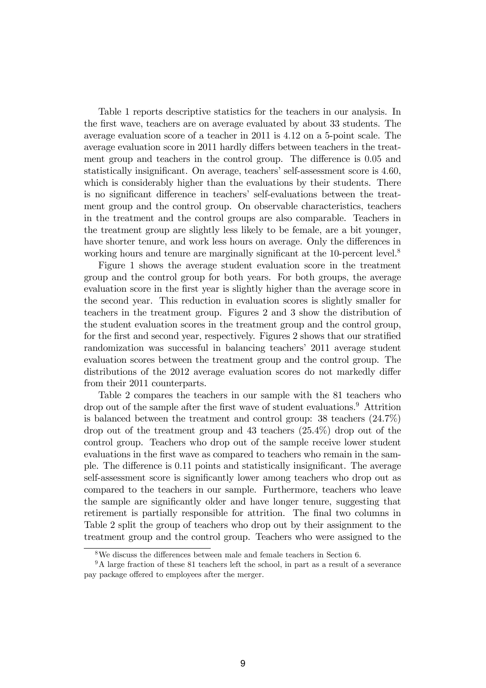Table 1 reports descriptive statistics for the teachers in our analysis. In the Örst wave, teachers are on average evaluated by about 33 students. The average evaluation score of a teacher in 2011 is 4:12 on a 5-point scale. The average evaluation score in 2011 hardly differs between teachers in the treatment group and teachers in the control group. The difference is 0.05 and statistically insignificant. On average, teachers' self-assessment score is 4.60, which is considerably higher than the evaluations by their students. There is no significant difference in teachers' self-evaluations between the treatment group and the control group. On observable characteristics, teachers in the treatment and the control groups are also comparable. Teachers in the treatment group are slightly less likely to be female, are a bit younger, have shorter tenure, and work less hours on average. Only the differences in working hours and tenure are marginally significant at the 10-percent level.<sup>8</sup>

Figure 1 shows the average student evaluation score in the treatment group and the control group for both years. For both groups, the average evaluation score in the first year is slightly higher than the average score in the second year. This reduction in evaluation scores is slightly smaller for teachers in the treatment group. Figures 2 and 3 show the distribution of the student evaluation scores in the treatment group and the control group, for the first and second year, respectively. Figures 2 shows that our stratified randomization was successful in balancing teachersí 2011 average student evaluation scores between the treatment group and the control group. The distributions of the 2012 average evaluation scores do not markedly differ from their 2011 counterparts.

Table 2 compares the teachers in our sample with the 81 teachers who drop out of the sample after the first wave of student evaluations.<sup>9</sup> Attrition is balanced between the treatment and control group: 38 teachers (24.7%) drop out of the treatment group and 43 teachers (25.4%) drop out of the control group. Teachers who drop out of the sample receive lower student evaluations in the first wave as compared to teachers who remain in the sample. The difference is 0.11 points and statistically insignificant. The average self-assessment score is significantly lower among teachers who drop out as compared to the teachers in our sample. Furthermore, teachers who leave the sample are significantly older and have longer tenure, suggesting that retirement is partially responsible for attrition. The final two columns in Table 2 split the group of teachers who drop out by their assignment to the treatment group and the control group. Teachers who were assigned to the

 $8\text{We discuss the differences between male and female teachers in Section 6.}$ 

<sup>&</sup>lt;sup>9</sup>A large fraction of these 81 teachers left the school, in part as a result of a severance pay package offered to employees after the merger.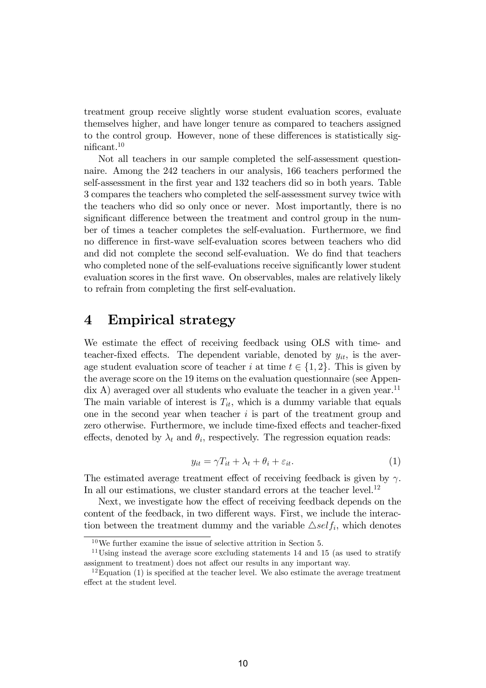treatment group receive slightly worse student evaluation scores, evaluate themselves higher, and have longer tenure as compared to teachers assigned to the control group. However, none of these differences is statistically sig $n$ ificant.<sup>10</sup>

Not all teachers in our sample completed the self-assessment questionnaire. Among the 242 teachers in our analysis, 166 teachers performed the self-assessment in the first year and 132 teachers did so in both years. Table 3 compares the teachers who completed the self-assessment survey twice with the teachers who did so only once or never. Most importantly, there is no significant difference between the treatment and control group in the number of times a teacher completes the self-evaluation. Furthermore, we find no difference in first-wave self-evaluation scores between teachers who did and did not complete the second self-evaluation. We do find that teachers who completed none of the self-evaluations receive significantly lower student evaluation scores in the first wave. On observables, males are relatively likely to refrain from completing the first self-evaluation.

#### 4 Empirical strategy

We estimate the effect of receiving feedback using OLS with time- and teacher-fixed effects. The dependent variable, denoted by  $y_{it}$ , is the average student evaluation score of teacher i at time  $t \in \{1, 2\}$ . This is given by the average score on the 19 items on the evaluation questionnaire (see Appen- $\chi$  dix A) averaged over all students who evaluate the teacher in a given year.<sup>11</sup> The main variable of interest is  $T_{it}$ , which is a dummy variable that equals one in the second year when teacher  $i$  is part of the treatment group and zero otherwise. Furthermore, we include time-fixed effects and teacher-fixed effects, denoted by  $\lambda_t$  and  $\theta_i$ , respectively. The regression equation reads:

$$
y_{it} = \gamma T_{it} + \lambda_t + \theta_i + \varepsilon_{it}.
$$
\n<sup>(1)</sup>

The estimated average treatment effect of receiving feedback is given by  $\gamma$ . In all our estimations, we cluster standard errors at the teacher level.<sup>12</sup>

Next, we investigate how the effect of receiving feedback depends on the content of the feedback, in two different ways. First, we include the interaction between the treatment dummy and the variable  $\triangle \text{self}_i$ , which denotes

 $10\,\text{We further examine the issue of selective attrition in Section 5.}$ 

<sup>&</sup>lt;sup>11</sup>Using instead the average score excluding statements 14 and 15 (as used to stratify assignment to treatment) does not affect our results in any important way.

 $12$ Equation (1) is specified at the teacher level. We also estimate the average treatment effect at the student level.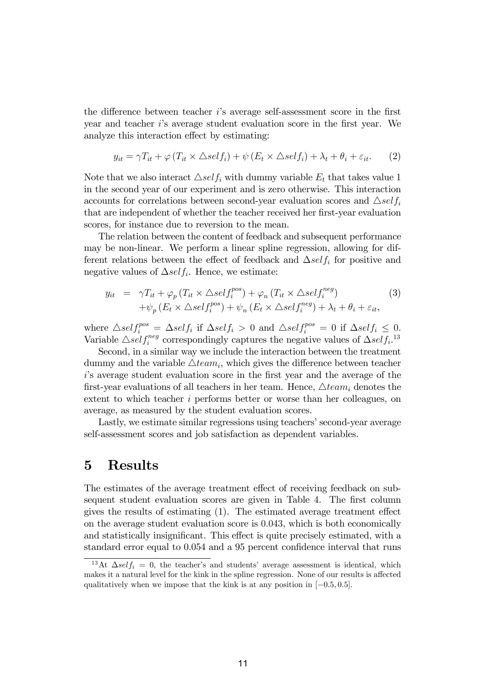the difference between teacher *i*'s average self-assessment score in the first year and teacher is average student evaluation score in the first year. We analyze this interaction effect by estimating:

$$
y_{it} = \gamma T_{it} + \varphi (T_{it} \times \triangle self_i) + \psi (E_t \times \triangle self_i) + \lambda_t + \theta_i + \varepsilon_{it}.
$$
 (2)

Note that we also interact  $\triangle \text{self}_i$  with dummy variable  $E_t$  that takes value 1 in the second year of our experiment and is zero otherwise. This interaction accounts for correlations between second-year evaluation scores and  $\triangle self_i$ that are independent of whether the teacher received her first-year evaluation scores, for instance due to reversion to the mean.

The relation between the content of feedback and subsequent performance may be non-linear. We perform a linear spline regression, allowing for different relations between the effect of feedback and  $\Delta self_i$  for positive and negative values of  $\Delta self_i$ . Hence, we estimate:

$$
y_{it} = \gamma T_{it} + \varphi_p (T_{it} \times \triangle self_i^{pos}) + \varphi_n (T_{it} \times \triangle self_i^{neg})
$$
  
+  $\psi_p (E_t \times \triangle self_i^{pos}) + \psi_n (E_t \times \triangle self_i^{neg}) + \lambda_t + \theta_i + \varepsilon_{it},$  (3)

where  $\triangle \text{self}_i^{\text{pos}} = \triangle \text{self}_i$  if  $\triangle \text{self}_i > 0$  and  $\triangle \text{self}_i^{\text{pos}} = 0$  if  $\triangle \text{self}_i \leq 0$ . Variable  $\triangle self_i^{neg}$  correspondingly captures the negative values of  $\triangle self_i$ <sup>13</sup>

Second, in a similar way we include the interaction between the treatment dummy and the variable  $\triangle team_i$ , which gives the difference between teacher i's average student evaluation score in the first year and the average of the first-year evaluations of all teachers in her team. Hence,  $\triangle team_i$  denotes the extent to which teacher i performs better or worse than her colleagues, on average, as measured by the student evaluation scores.

Lastly, we estimate similar regressions using teachers' second-year average self-assessment scores and job satisfaction as dependent variables.

#### 5 Results

The estimates of the average treatment effect of receiving feedback on subsequent student evaluation scores are given in Table 4. The first column gives the results of estimating  $(1)$ . The estimated average treatment effect on the average student evaluation score is 0:043, which is both economically and statistically insignificant. This effect is quite precisely estimated, with a standard error equal to 0.054 and a 95 percent confidence interval that runs

<sup>&</sup>lt;sup>13</sup>At  $\Delta self_i = 0$ , the teacher's and students' average assessment is identical, which makes it a natural level for the kink in the spline regression. None of our results is affected qualitatively when we impose that the kink is at any position in  $[-0.5, 0.5]$ .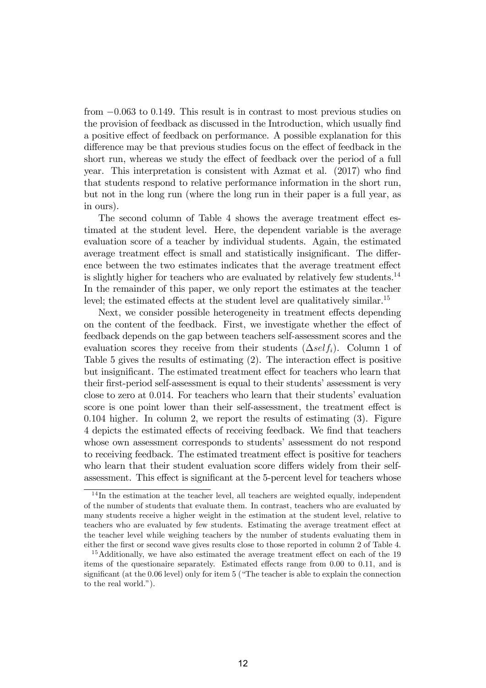from  $-0.063$  to 0.149. This result is in contrast to most previous studies on the provision of feedback as discussed in the Introduction, which usually find a positive effect of feedback on performance. A possible explanation for this difference may be that previous studies focus on the effect of feedback in the short run, whereas we study the effect of feedback over the period of a full year. This interpretation is consistent with Azmat et al. (2017) who find that students respond to relative performance information in the short run, but not in the long run (where the long run in their paper is a full year, as in ours).

The second column of Table 4 shows the average treatment effect estimated at the student level. Here, the dependent variable is the average evaluation score of a teacher by individual students. Again, the estimated average treatment effect is small and statistically insignificant. The difference between the two estimates indicates that the average treatment effect is slightly higher for teachers who are evaluated by relatively few students.<sup>14</sup> In the remainder of this paper, we only report the estimates at the teacher level; the estimated effects at the student level are qualitatively similar.<sup>15</sup>

Next, we consider possible heterogeneity in treatment effects depending on the content of the feedback. First, we investigate whether the effect of feedback depends on the gap between teachers self-assessment scores and the evaluation scores they receive from their students  $(\Delta sel f_i)$ . Column 1 of Table 5 gives the results of estimating  $(2)$ . The interaction effect is positive but insignificant. The estimated treatment effect for teachers who learn that their first-period self-assessment is equal to their students' assessment is very close to zero at 0.014. For teachers who learn that their students' evaluation score is one point lower than their self-assessment, the treatment effect is 0:104 higher. In column 2, we report the results of estimating (3). Figure 4 depicts the estimated effects of receiving feedback. We find that teachers whose own assessment corresponds to students<sup>'</sup> assessment do not respond to receiving feedback. The estimated treatment effect is positive for teachers who learn that their student evaluation score differs widely from their selfassessment. This effect is significant at the 5-percent level for teachers whose

<sup>&</sup>lt;sup>14</sup>In the estimation at the teacher level, all teachers are weighted equally, independent of the number of students that evaluate them. In contrast, teachers who are evaluated by many students receive a higher weight in the estimation at the student level, relative to teachers who are evaluated by few students. Estimating the average treatment effect at the teacher level while weighing teachers by the number of students evaluating them in either the first or second wave gives results close to those reported in column 2 of Table 4.

 $15$ Additionally, we have also estimated the average treatment effect on each of the 19 items of the questionaire separately. Estimated effects range from  $0.00$  to  $0.11$ , and is significant (at the  $0.06$  level) only for item 5 ("The teacher is able to explain the connection to the real world.").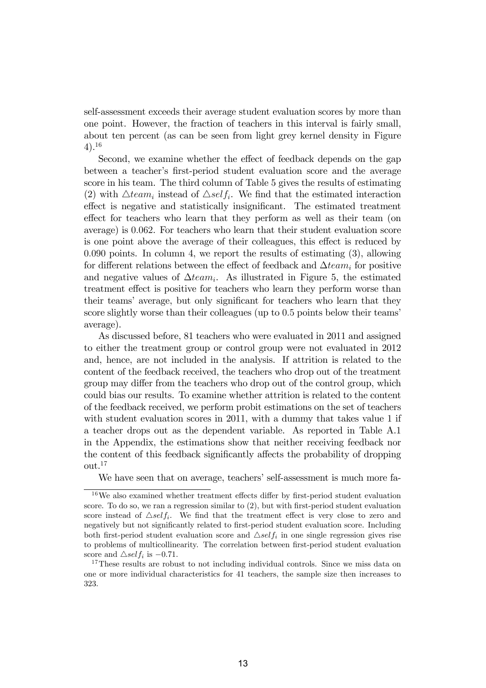self-assessment exceeds their average student evaluation scores by more than one point. However, the fraction of teachers in this interval is fairly small, about ten percent (as can be seen from light grey kernel density in Figure 4).<sup>16</sup>

Second, we examine whether the effect of feedback depends on the gap between a teacher's first-period student evaluation score and the average score in his team. The third column of Table 5 gives the results of estimating (2) with  $\triangle team_i$  instead of  $\triangle self_i$ . We find that the estimated interaction effect is negative and statistically insignificant. The estimated treatment effect for teachers who learn that they perform as well as their team (on average) is 0:062. For teachers who learn that their student evaluation score is one point above the average of their colleagues, this effect is reduced by 0:090 points. In column 4, we report the results of estimating (3), allowing for different relations between the effect of feedback and  $\Delta team_i$  for positive and negative values of  $\Delta team_i$ . As illustrated in Figure 5, the estimated treatment effect is positive for teachers who learn they perform worse than their teams' average, but only significant for teachers who learn that they score slightly worse than their colleagues (up to 0.5 points below their teams' average).

As discussed before, 81 teachers who were evaluated in 2011 and assigned to either the treatment group or control group were not evaluated in 2012 and, hence, are not included in the analysis. If attrition is related to the content of the feedback received, the teachers who drop out of the treatment group may differ from the teachers who drop out of the control group, which could bias our results. To examine whether attrition is related to the content of the feedback received, we perform probit estimations on the set of teachers with student evaluation scores in 2011, with a dummy that takes value 1 if a teacher drops out as the dependent variable. As reported in Table A.1 in the Appendix, the estimations show that neither receiving feedback nor the content of this feedback significantly affects the probability of dropping out.<sup>17</sup>

We have seen that on average, teachers' self-assessment is much more fa-

 $16$ We also examined whether treatment effects differ by first-period student evaluation score. To do so, we ran a regression similar to  $(2)$ , but with first-period student evaluation score instead of  $\triangle \text{self}_i$ . We find that the treatment effect is very close to zero and negatively but not significantly related to first-period student evaluation score. Including both first-period student evaluation score and  $\triangle self_i$  in one single regression gives rise to problems of multicollinearity. The correlation between first-period student evaluation score and  $\triangle$ *self<sub>i</sub>* is -0.71.

<sup>&</sup>lt;sup>17</sup>These results are robust to not including individual controls. Since we miss data on one or more individual characteristics for 41 teachers, the sample size then increases to 323.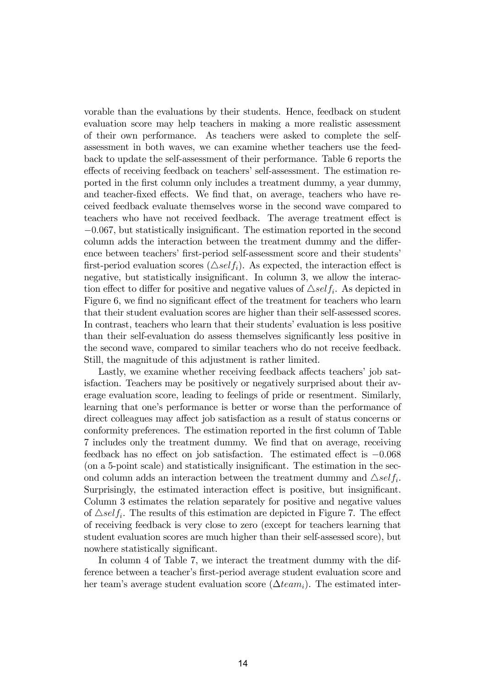vorable than the evaluations by their students. Hence, feedback on student evaluation score may help teachers in making a more realistic assessment of their own performance. As teachers were asked to complete the selfassessment in both waves, we can examine whether teachers use the feedback to update the self-assessment of their performance. Table 6 reports the effects of receiving feedback on teachers' self-assessment. The estimation reported in the first column only includes a treatment dummy, a year dummy, and teacher-fixed effects. We find that, on average, teachers who have received feedback evaluate themselves worse in the second wave compared to teachers who have not received feedback. The average treatment effect is  $-0.067$ , but statistically insignificant. The estimation reported in the second column adds the interaction between the treatment dummy and the difference between teachers' first-period self-assessment score and their students' first-period evaluation scores ( $\triangle self_i$ ). As expected, the interaction effect is negative, but statistically insignificant. In column 3, we allow the interaction effect to differ for positive and negative values of  $\triangle \text{self}_i$ . As depicted in Figure 6, we find no significant effect of the treatment for teachers who learn that their student evaluation scores are higher than their self-assessed scores. In contrast, teachers who learn that their studentsíevaluation is less positive than their self-evaluation do assess themselves significantly less positive in the second wave, compared to similar teachers who do not receive feedback. Still, the magnitude of this adjustment is rather limited.

Lastly, we examine whether receiving feedback affects teachers' job satisfaction. Teachers may be positively or negatively surprised about their average evaluation score, leading to feelings of pride or resentment. Similarly, learning that one's performance is better or worse than the performance of direct colleagues may affect job satisfaction as a result of status concerns or conformity preferences. The estimation reported in the first column of Table 7 includes only the treatment dummy. We Önd that on average, receiving feedback has no effect on job satisfaction. The estimated effect is  $-0.068$ (on a 5-point scale) and statistically insignificant. The estimation in the second column adds an interaction between the treatment dummy and  $\triangle self_i$ . Surprisingly, the estimated interaction effect is positive, but insignificant. Column 3 estimates the relation separately for positive and negative values of  $\triangle$ self<sub>i</sub>. The results of this estimation are depicted in Figure 7. The effect of receiving feedback is very close to zero (except for teachers learning that student evaluation scores are much higher than their self-assessed score), but nowhere statistically significant.

In column 4 of Table 7, we interact the treatment dummy with the difference between a teacher's first-period average student evaluation score and her team's average student evaluation score ( $\Delta team_i$ ). The estimated inter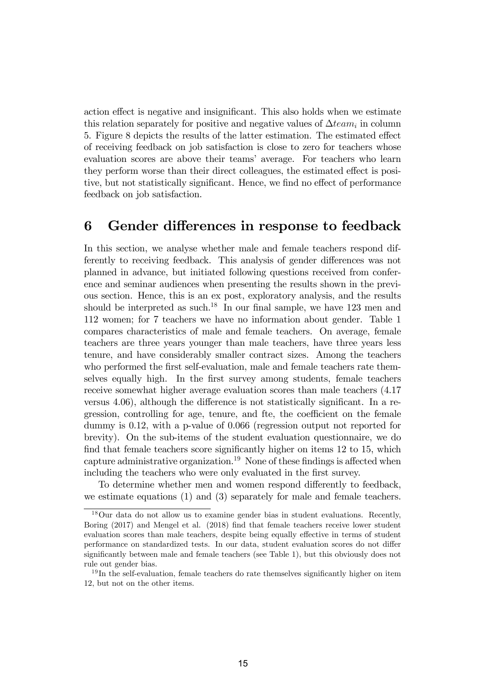action effect is negative and insignificant. This also holds when we estimate this relation separately for positive and negative values of  $\Delta team_i$  in column 5. Figure 8 depicts the results of the latter estimation. The estimated effect of receiving feedback on job satisfaction is close to zero for teachers whose evaluation scores are above their teams' average. For teachers who learn they perform worse than their direct colleagues, the estimated effect is positive, but not statistically significant. Hence, we find no effect of performance feedback on job satisfaction.

#### 6 Gender differences in response to feedback

In this section, we analyse whether male and female teachers respond differently to receiving feedback. This analysis of gender differences was not planned in advance, but initiated following questions received from conference and seminar audiences when presenting the results shown in the previous section. Hence, this is an ex post, exploratory analysis, and the results should be interpreted as such.<sup>18</sup> In our final sample, we have 123 men and 112 women; for 7 teachers we have no information about gender. Table 1 compares characteristics of male and female teachers. On average, female teachers are three years younger than male teachers, have three years less tenure, and have considerably smaller contract sizes. Among the teachers who performed the first self-evaluation, male and female teachers rate themselves equally high. In the first survey among students, female teachers receive somewhat higher average evaluation scores than male teachers (4.17 versus  $4.06$ ), although the difference is not statistically significant. In a regression, controlling for age, tenure, and fte, the coefficient on the female dummy is 0.12, with a p-value of 0.066 (regression output not reported for brevity). On the sub-items of the student evaluation questionnaire, we do find that female teachers score significantly higher on items  $12$  to  $15$ , which capture administrative organization.<sup>19</sup> None of these findings is affected when including the teachers who were only evaluated in the first survey.

To determine whether men and women respond differently to feedback, we estimate equations (1) and (3) separately for male and female teachers.

<sup>18</sup>Our data do not allow us to examine gender bias in student evaluations. Recently, Boring (2017) and Mengel et al. (2018) find that female teachers receive lower student evaluation scores than male teachers, despite being equally effective in terms of student performance on standardized tests. In our data, student evaluation scores do not differ significantly between male and female teachers (see Table 1), but this obviously does not rule out gender bias.

 $19$ In the self-evaluation, female teachers do rate themselves significantly higher on item 12, but not on the other items.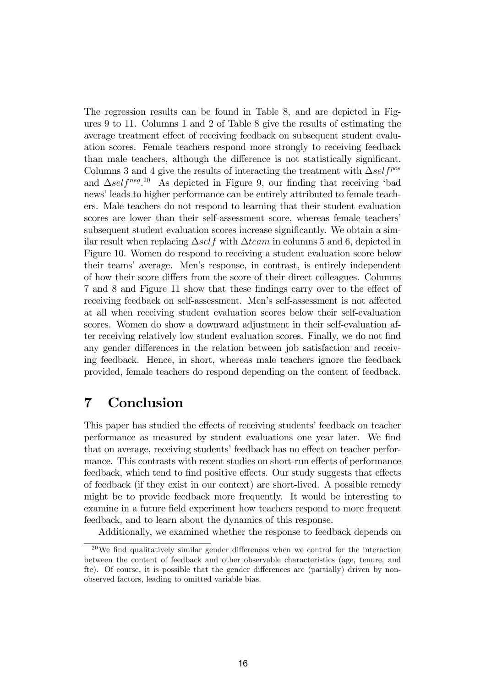The regression results can be found in Table 8, and are depicted in Figures 9 to 11. Columns 1 and 2 of Table 8 give the results of estimating the average treatment effect of receiving feedback on subsequent student evaluation scores. Female teachers respond more strongly to receiving feedback than male teachers, although the difference is not statistically significant. Columns 3 and 4 give the results of interacting the treatment with  $\Delta self^{pos}$ and  $\Delta self^{neg}$ .<sup>20</sup> As depicted in Figure 9, our finding that receiving 'bad news' leads to higher performance can be entirely attributed to female teachers. Male teachers do not respond to learning that their student evaluation scores are lower than their self-assessment score, whereas female teachers' subsequent student evaluation scores increase significantly. We obtain a similar result when replacing  $\Delta self$  with  $\Delta team$  in columns 5 and 6, depicted in Figure 10. Women do respond to receiving a student evaluation score below their teamsí average. Menís response, in contrast, is entirely independent of how their score differs from the score of their direct colleagues. Columns 7 and 8 and Figure 11 show that these findings carry over to the effect of receiving feedback on self-assessment. Men's self-assessment is not affected at all when receiving student evaluation scores below their self-evaluation scores. Women do show a downward adjustment in their self-evaluation after receiving relatively low student evaluation scores. Finally, we do not find any gender differences in the relation between job satisfaction and receiving feedback. Hence, in short, whereas male teachers ignore the feedback provided, female teachers do respond depending on the content of feedback.

### 7 Conclusion

This paper has studied the effects of receiving students' feedback on teacher performance as measured by student evaluations one year later. We Önd that on average, receiving students' feedback has no effect on teacher performance. This contrasts with recent studies on short-run effects of performance feedback, which tend to find positive effects. Our study suggests that effects of feedback (if they exist in our context) are short-lived. A possible remedy might be to provide feedback more frequently. It would be interesting to examine in a future field experiment how teachers respond to more frequent feedback, and to learn about the dynamics of this response.

Additionally, we examined whether the response to feedback depends on

 $20$ We find qualitatively similar gender differences when we control for the interaction between the content of feedback and other observable characteristics (age, tenure, and fte). Of course, it is possible that the gender differences are (partially) driven by nonobserved factors, leading to omitted variable bias.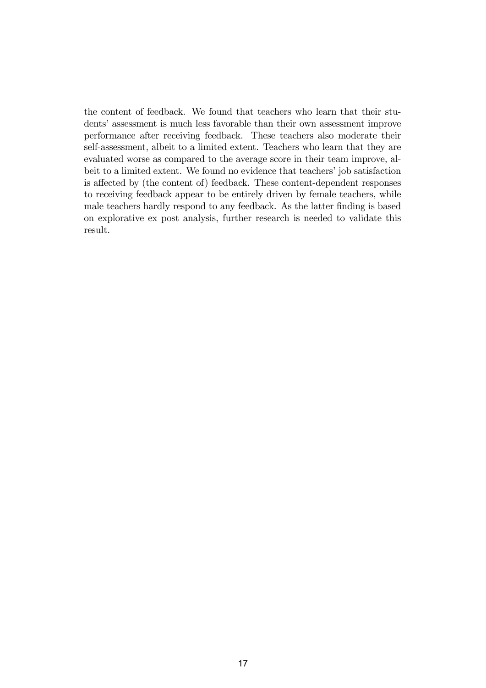the content of feedback. We found that teachers who learn that their students' assessment is much less favorable than their own assessment improve performance after receiving feedback. These teachers also moderate their self-assessment, albeit to a limited extent. Teachers who learn that they are evaluated worse as compared to the average score in their team improve, albeit to a limited extent. We found no evidence that teachers' job satisfaction is affected by (the content of) feedback. These content-dependent responses to receiving feedback appear to be entirely driven by female teachers, while male teachers hardly respond to any feedback. As the latter finding is based on explorative ex post analysis, further research is needed to validate this result.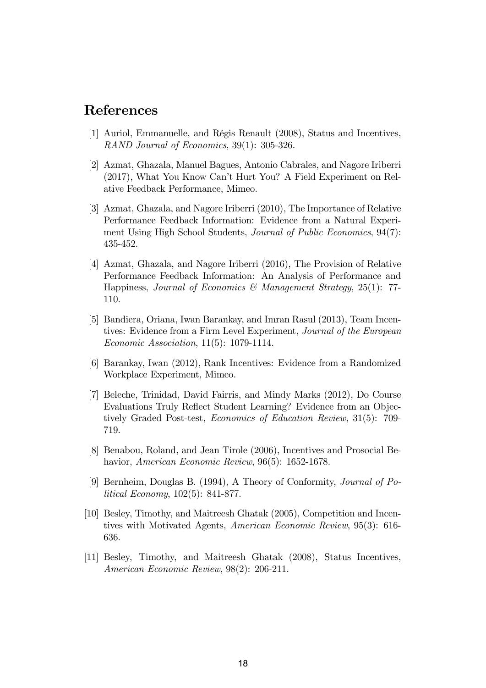## References

- [1] Auriol, Emmanuelle, and RÈgis Renault (2008), Status and Incentives, RAND Journal of Economics, 39(1): 305-326.
- [2] Azmat, Ghazala, Manuel Bagues, Antonio Cabrales, and Nagore Iriberri (2017), What You Know Canít Hurt You? A Field Experiment on Relative Feedback Performance, Mimeo.
- [3] Azmat, Ghazala, and Nagore Iriberri (2010), The Importance of Relative Performance Feedback Information: Evidence from a Natural Experiment Using High School Students, Journal of Public Economics, 94(7): 435-452.
- [4] Azmat, Ghazala, and Nagore Iriberri (2016), The Provision of Relative Performance Feedback Information: An Analysis of Performance and Happiness, Journal of Economics & Management Strategy, 25(1): 77-110.
- [5] Bandiera, Oriana, Iwan Barankay, and Imran Rasul (2013), Team Incentives: Evidence from a Firm Level Experiment, Journal of the European Economic Association, 11(5): 1079-1114.
- [6] Barankay, Iwan (2012), Rank Incentives: Evidence from a Randomized Workplace Experiment, Mimeo.
- [7] Beleche, Trinidad, David Fairris, and Mindy Marks (2012), Do Course Evaluations Truly Reflect Student Learning? Evidence from an Objectively Graded Post-test, Economics of Education Review, 31(5): 709- 719.
- [8] Benabou, Roland, and Jean Tirole (2006), Incentives and Prosocial Behavior, American Economic Review, 96(5): 1652-1678.
- [9] Bernheim, Douglas B. (1994), A Theory of Conformity, Journal of Political Economy, 102(5): 841-877.
- [10] Besley, Timothy, and Maitreesh Ghatak (2005), Competition and Incentives with Motivated Agents, American Economic Review, 95(3): 616- 636.
- [11] Besley, Timothy, and Maitreesh Ghatak (2008), Status Incentives, American Economic Review, 98(2): 206-211.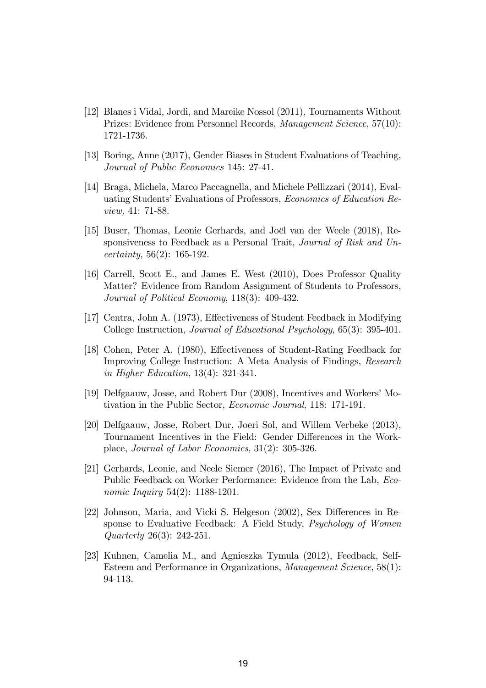- [12] Blanes i Vidal, Jordi, and Mareike Nossol (2011), Tournaments Without Prizes: Evidence from Personnel Records, Management Science, 57(10): 1721-1736.
- [13] Boring, Anne (2017), Gender Biases in Student Evaluations of Teaching, Journal of Public Economics 145: 27-41.
- [14] Braga, Michela, Marco Paccagnella, and Michele Pellizzari (2014), Evaluating Students' Evaluations of Professors, Economics of Education Review, 41: 71-88.
- [15] Buser, Thomas, Leonie Gerhards, and Joël van der Weele (2018), Responsiveness to Feedback as a Personal Trait, Journal of Risk and Uncertainty, 56(2): 165-192.
- [16] Carrell, Scott E., and James E. West (2010), Does Professor Quality Matter? Evidence from Random Assignment of Students to Professors, Journal of Political Economy, 118(3): 409-432.
- [17] Centra, John A. (1973), Effectiveness of Student Feedback in Modifying College Instruction, Journal of Educational Psychology, 65(3): 395-401.
- [18] Cohen, Peter A. (1980), Effectiveness of Student-Rating Feedback for Improving College Instruction: A Meta Analysis of Findings, Research in Higher Education, 13(4): 321-341.
- [19] Delfgaauw, Josse, and Robert Dur (2008), Incentives and Workers' Motivation in the Public Sector, Economic Journal, 118: 171-191.
- [20] Delfgaauw, Josse, Robert Dur, Joeri Sol, and Willem Verbeke (2013), Tournament Incentives in the Field: Gender Differences in the Workplace, Journal of Labor Economics, 31(2): 305-326.
- [21] Gerhards, Leonie, and Neele Siemer (2016), The Impact of Private and Public Feedback on Worker Performance: Evidence from the Lab, Economic Inquiry 54(2): 1188-1201.
- [22] Johnson, Maria, and Vicki S. Helgeson  $(2002)$ , Sex Differences in Response to Evaluative Feedback: A Field Study, Psychology of Women Quarterly 26(3): 242-251.
- [23] Kuhnen, Camelia M., and Agnieszka Tymula (2012), Feedback, Self-Esteem and Performance in Organizations, Management Science, 58(1): 94-113.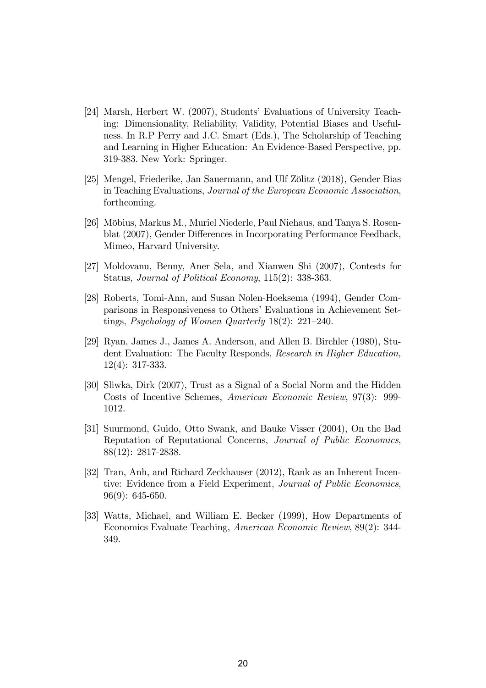- [24] Marsh, Herbert W. (2007), Students' Evaluations of University Teaching: Dimensionality, Reliability, Validity, Potential Biases and Usefulness. In R.P Perry and J.C. Smart (Eds.), The Scholarship of Teaching and Learning in Higher Education: An Evidence-Based Perspective, pp. 319-383. New York: Springer.
- [25] Mengel, Friederike, Jan Sauermann, and Ulf Zölitz (2018), Gender Bias in Teaching Evaluations, Journal of the European Economic Association, forthcoming.
- [26] Mˆbius, Markus M., Muriel Niederle, Paul Niehaus, and Tanya S. Rosenblat (2007), Gender Differences in Incorporating Performance Feedback, Mimeo, Harvard University.
- [27] Moldovanu, Benny, Aner Sela, and Xianwen Shi (2007), Contests for Status, Journal of Political Economy, 115(2): 338-363.
- [28] Roberts, Tomi-Ann, and Susan Nolen-Hoeksema (1994), Gender Comparisons in Responsiveness to Others' Evaluations in Achievement Settings, Psychology of Women Quarterly  $18(2)$ :  $221-240$ .
- [29] Ryan, James J., James A. Anderson, and Allen B. Birchler (1980), Student Evaluation: The Faculty Responds, Research in Higher Education, 12(4): 317-333.
- [30] Sliwka, Dirk (2007), Trust as a Signal of a Social Norm and the Hidden Costs of Incentive Schemes, American Economic Review, 97(3): 999- 1012.
- [31] Suurmond, Guido, Otto Swank, and Bauke Visser (2004), On the Bad Reputation of Reputational Concerns, Journal of Public Economics, 88(12): 2817-2838.
- [32] Tran, Anh, and Richard Zeckhauser (2012), Rank as an Inherent Incentive: Evidence from a Field Experiment, Journal of Public Economics, 96(9): 645-650.
- [33] Watts, Michael, and William E. Becker (1999), How Departments of Economics Evaluate Teaching, American Economic Review, 89(2): 344- 349.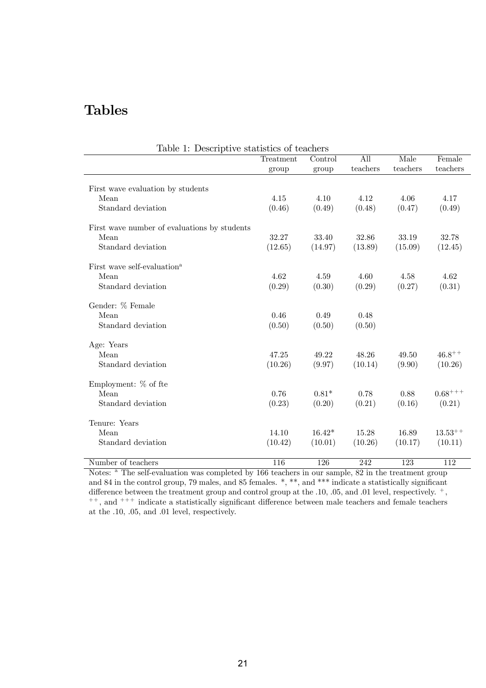## Tables

| Table 1: Descriptive statistics of teachers  |           |          |          |          |              |
|----------------------------------------------|-----------|----------|----------|----------|--------------|
|                                              | Treatment | Control  | All      | Male     | Female       |
|                                              | group     | group    | teachers | teachers | teachers     |
| First wave evaluation by students            |           |          |          |          |              |
| Mean                                         | 4.15      | 4.10     | 4.12     | 4.06     | 4.17         |
| Standard deviation                           | (0.46)    | (0.49)   | (0.48)   | (0.47)   | (0.49)       |
|                                              |           |          |          |          |              |
| First wave number of evaluations by students |           |          |          |          |              |
| Mean                                         | 32.27     | 33.40    | 32.86    | 33.19    | 32.78        |
| Standard deviation                           | (12.65)   | (14.97)  | (13.89)  | (15.09)  | (12.45)      |
| First wave self-evaluation <sup>a</sup>      |           |          |          |          |              |
| Mean                                         | 4.62      | 4.59     | 4.60     | 4.58     | 4.62         |
| Standard deviation                           | (0.29)    | (0.30)   | (0.29)   | (0.27)   | (0.31)       |
|                                              |           |          |          |          |              |
| Gender: % Female                             |           |          |          |          |              |
| Mean                                         | 0.46      | 0.49     | 0.48     |          |              |
| Standard deviation                           | (0.50)    | (0.50)   | (0.50)   |          |              |
| Age: Years                                   |           |          |          |          |              |
| Mean                                         | 47.25     | 49.22    | 48.26    | 49.50    | $46.8^{++}$  |
| Standard deviation                           | (10.26)   | (9.97)   | (10.14)  | (9.90)   | (10.26)      |
| Employment: $%$ of fte                       |           |          |          |          |              |
| Mean                                         | 0.76      | $0.81*$  | 0.78     | 0.88     | $0.68^{+++}$ |
| Standard deviation                           |           |          |          |          |              |
|                                              | (0.23)    | (0.20)   | (0.21)   | (0.16)   | (0.21)       |
| Tenure: Years                                |           |          |          |          |              |
| Mean                                         | 14.10     | $16.42*$ | 15.28    | 16.89    | $13.53^{++}$ |
| Standard deviation                           | (10.42)   | (10.01)  | (10.26)  | (10.17)  | (10.11)      |
| Number of teachers                           | 116       | 126      | 242      | 123      | 112          |
|                                              |           |          |          |          |              |

Notes: <sup>a</sup> The self-evaluation was completed by 166 teachers in our sample, 82 in the treatment group and 84 in the control group, 79 males, and 85 females.  $*, **$ , and  $***$  indicate a statistically significant difference between the treatment group and control group at the .10, .05, and .01 level, respectively.  $^+$ ,  $^{++}$ , and  $^{+++}$  indicate a statistically significant difference between male teachers and female teachers at the .10, .05, and .01 level, respectively.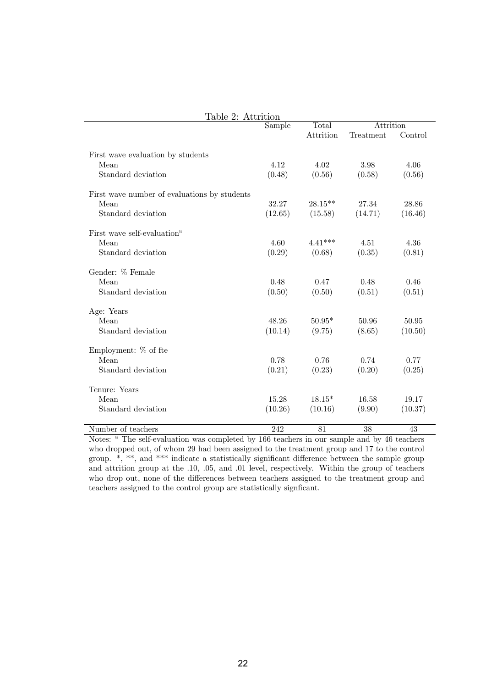| Table 2: Attrition                           |         |            |           |         |
|----------------------------------------------|---------|------------|-----------|---------|
|                                              | Sample  | Total      | Attrition |         |
|                                              |         | Attrition  | Treatment | Control |
|                                              |         |            |           |         |
| First wave evaluation by students            |         |            |           |         |
| Mean                                         | 4.12    | 4.02       | 3.98      | 4.06    |
| Standard deviation                           | (0.48)  | (0.56)     | (0.58)    | (0.56)  |
| First wave number of evaluations by students |         |            |           |         |
| Mean                                         | 32.27   | $28.15***$ | 27.34     | 28.86   |
| Standard deviation                           | (12.65) | (15.58)    | (14.71)   | (16.46) |
| First wave self-evaluation <sup>a</sup>      |         |            |           |         |
| Mean                                         | 4.60    | $4.41***$  | 4.51      | 4.36    |
| Standard deviation                           | (0.29)  | (0.68)     | (0.35)    | (0.81)  |
| Gender: % Female                             |         |            |           |         |
| Mean                                         | 0.48    | 0.47       | 0.48      | 0.46    |
| Standard deviation                           | (0.50)  | (0.50)     | (0.51)    | (0.51)  |
| Age: Years                                   |         |            |           |         |
| Mean                                         | 48.26   | $50.95*$   | 50.96     | 50.95   |
| Standard deviation                           | (10.14) | (9.75)     | (8.65)    | (10.50) |
| Employment: % of fte                         |         |            |           |         |
| Mean                                         | 0.78    | 0.76       | 0.74      | 0.77    |
| Standard deviation                           | (0.21)  | (0.23)     | (0.20)    | (0.25)  |
|                                              |         |            |           |         |
| Tenure: Years                                |         |            |           |         |
| Mean                                         | 15.28   | $18.15*$   | 16.58     | 19.17   |
| Standard deviation                           | (10.26) | (10.16)    | (9.90)    | (10.37) |
| Number of teachers                           | 242     | 81         | 38        | 43      |

Notes: <sup>a</sup> The self-evaluation was completed by 166 teachers in our sample and by 46 teachers who dropped out, of whom 29 had been assigned to the treatment group and 17 to the control group.  $*,$  \*\*, and \*\*\* indicate a statistically significant difference between the sample group and attrition group at the .10, .05, and .01 level, respectively. Within the group of teachers who drop out, none of the differences between teachers assigned to the treatment group and teachers assigned to the control group are statistically significant.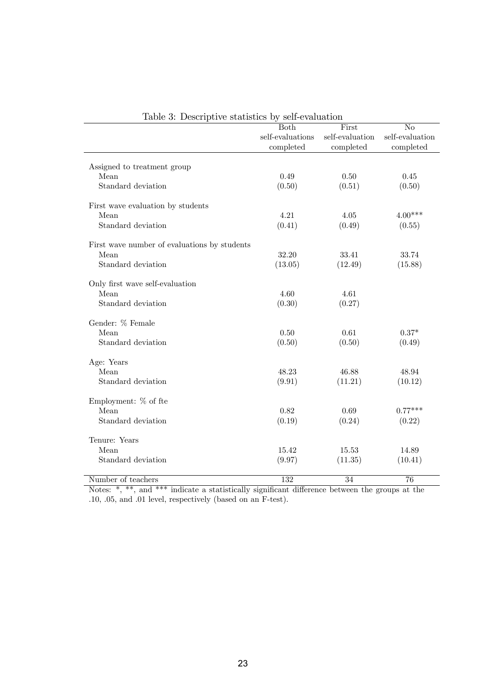|                                              | <b>Both</b>      | First           | No              |
|----------------------------------------------|------------------|-----------------|-----------------|
|                                              | self-evaluations | self-evaluation | self-evaluation |
|                                              | completed        | completed       | completed       |
| Assigned to treatment group                  |                  |                 |                 |
| Mean                                         | 0.49             | 0.50            | 0.45            |
| Standard deviation                           | (0.50)           | (0.51)          | (0.50)          |
| First wave evaluation by students            |                  |                 |                 |
| Mean                                         | 4.21             | 4.05            | $4.00***$       |
| Standard deviation                           | (0.41)           | (0.49)          | (0.55)          |
| First wave number of evaluations by students |                  |                 |                 |
| Mean                                         | 32.20            | 33.41           | 33.74           |
| Standard deviation                           | (13.05)          | (12.49)         | (15.88)         |
| Only first wave self-evaluation              |                  |                 |                 |
| Mean                                         | 4.60             | 4.61            |                 |
| Standard deviation                           | (0.30)           | (0.27)          |                 |
| Gender: % Female                             |                  |                 |                 |
| Mean                                         | 0.50             | 0.61            | $0.37*$         |
| Standard deviation                           | (0.50)           | (0.50)          | (0.49)          |
| Age: Years                                   |                  |                 |                 |
| Mean                                         | 48.23            | 46.88           | 48.94           |
| Standard deviation                           | (9.91)           | (11.21)         | (10.12)         |
| Employment: % of fte                         |                  |                 |                 |
| Mean                                         | 0.82             | 0.69            | $0.77***$       |
| Standard deviation                           | (0.19)           | (0.24)          | (0.22)          |
| Tenure: Years                                |                  |                 |                 |
| Mean                                         | 15.42            | 15.53           | 14.89           |
| Standard deviation                           | (9.97)           | (11.35)         | (10.41)         |
| Number of teachers                           | 132              | 34              | 76              |

|  |  |  |  | Table 3: Descriptive statistics by self-evaluation |
|--|--|--|--|----------------------------------------------------|
|--|--|--|--|----------------------------------------------------|

Notes:  $*,$  \*\*, and \*\*\* indicate a statistically significant difference between the groups at the .10, .05, and .01 level, respectively (based on an F-test).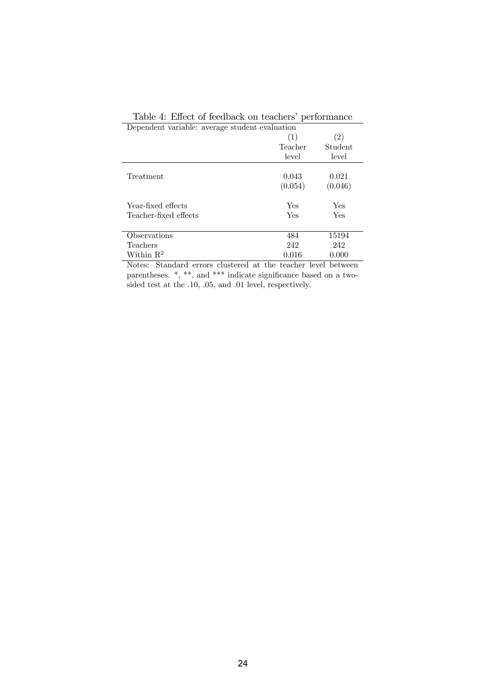| Dependent variable: average student evaluation |         |         |
|------------------------------------------------|---------|---------|
|                                                | (1)     | (2)     |
|                                                | Teacher | Student |
|                                                | level   | level   |
|                                                |         |         |
| Treatment                                      | 0.043   | 0.021   |
|                                                | (0.054) | (0.046) |
| Year-fixed effects                             | Yes     | Yes     |
| Teacher-fixed effects                          | Yes     | Yes     |
|                                                |         |         |
| Observations                                   | 484     | 15194   |
| Teachers                                       | 242     | 242     |
| Within $R^2$                                   | 0.016   | 0.000   |

|  |  |  | Table 4: Effect of feedback on teachers' performance |
|--|--|--|------------------------------------------------------|

Notes: Standard errors clustered at the teacher level between parentheses. \*, \*\*, and \*\*\* indicate significance based on a twosided test at the .10, .05, and .01 level, respectively.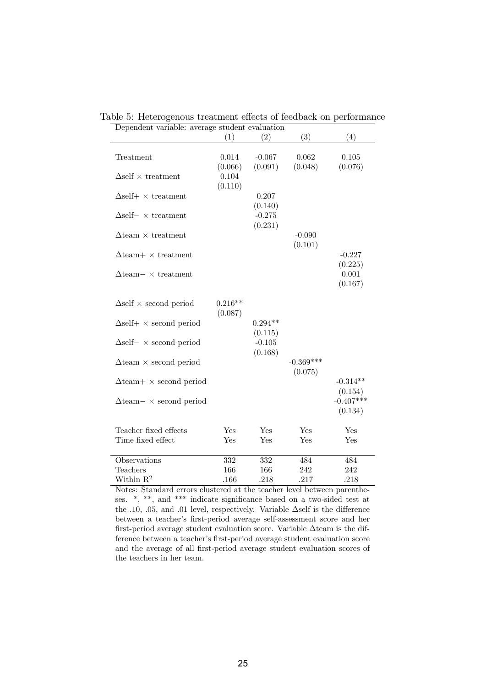| Dependent variable: average student evaluation |           |           |             |             |
|------------------------------------------------|-----------|-----------|-------------|-------------|
|                                                | (1)       | (2)       | (3)         | (4)         |
|                                                |           |           |             |             |
| Treatment                                      | 0.014     | $-0.067$  | 0.062       | 0.105       |
|                                                | (0.066)   | (0.091)   | (0.048)     | (0.076)     |
| $\Delta$ self $\times$ treatment               | 0.104     |           |             |             |
|                                                | (0.110)   |           |             |             |
| $\Delta$ self+ $\times$ treatment              |           | 0.207     |             |             |
|                                                |           | (0.140)   |             |             |
| $\Delta$ self- $\times$ treatment              |           | $-0.275$  |             |             |
|                                                |           | (0.231)   |             |             |
| $\Delta$ team $\times$ treatment               |           |           | $-0.090$    |             |
|                                                |           |           | (0.101)     |             |
| $\Delta$ team+ $\times$ treatment              |           |           |             | $-0.227$    |
|                                                |           |           |             | (0.225)     |
|                                                |           |           |             | 0.001       |
| $\Delta$ team – $\times$ treatment             |           |           |             |             |
|                                                |           |           |             | (0.167)     |
|                                                |           |           |             |             |
| $\Delta$ self $\times$ second period           | $0.216**$ |           |             |             |
|                                                | (0.087)   |           |             |             |
| $\Delta$ self+ $\times$ second period          |           | $0.294**$ |             |             |
|                                                |           | (0.115)   |             |             |
| $\Delta$ self- $\times$ second period          |           | $-0.105$  |             |             |
|                                                |           | (0.168)   |             |             |
| $\Delta$ team $\times$ second period           |           |           | $-0.369***$ |             |
|                                                |           |           | (0.075)     |             |
| $\Delta$ team + $\times$ second period         |           |           |             | $-0.314**$  |
|                                                |           |           |             | (0.154)     |
| $\Delta$ team – $\times$ second period         |           |           |             | $-0.407***$ |
|                                                |           |           |             | (0.134)     |
|                                                |           |           |             |             |
| Teacher fixed effects                          | Yes       | Yes       | Yes         | Yes         |
| Time fixed effect                              | Yes       | Yes       | Yes         | Yes         |
|                                                |           |           |             |             |
| <b>Observations</b>                            | 332       | 332       | 484         | 484         |
| Teachers                                       | 166       | 166       | 242         | 242         |
| Within $\mathbb{R}^2$                          | .166      | .218      | .217        | .218        |

Table 5: Heterogenous treatment effects of feedback on performance

Notes: Standard errors clustered at the teacher level between parentheses.  $*,$  \*\*, and \*\*\* indicate significance based on a two-sided test at the .10, .05, and .01 level, respectively. Variable  $\Delta$ self is the difference between a teacher's first-period average self-assessment score and her first-period average student evaluation score. Variable  $\Delta$ team is the difference between a teacher's first-period average student evaluation score and the average of all first-period average student evaluation scores of the teachers in her team.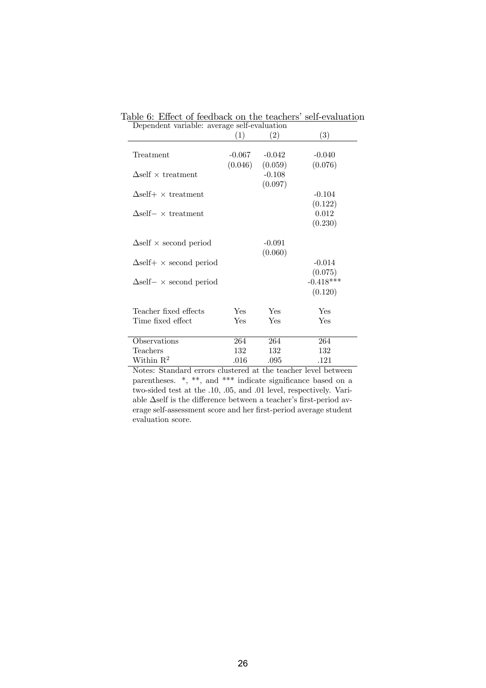|                                       | (1)      | (2)      | (3)         |
|---------------------------------------|----------|----------|-------------|
| Treatment                             | $-0.067$ | $-0.042$ | $-0.040$    |
|                                       | (0.046)  | (0.059)  | (0.076)     |
| $\Delta$ self $\times$ treatment      |          | $-0.108$ |             |
|                                       |          | (0.097)  |             |
| $\Delta$ self+ × treatment            |          |          | $-0.104$    |
|                                       |          |          | (0.122)     |
| $\Delta$ self- $\times$ treatment     |          |          | 0.012       |
|                                       |          |          | (0.230)     |
| $\Delta$ self $\times$ second period  |          | $-0.091$ |             |
|                                       |          | (0.060)  |             |
| $\Delta$ self+ $\times$ second period |          |          | $-0.014$    |
|                                       |          |          | (0.075)     |
| $\Delta$ self- $\times$ second period |          |          | $-0.418***$ |
|                                       |          |          | (0.120)     |
| Teacher fixed effects                 | Yes      | Yes      | Yes         |
| Time fixed effect                     | Yes      | Yes      | Yes         |
|                                       |          |          |             |
| Observations                          | 264      | 264      | 264         |
| Teachers                              | 132      | 132      | 132         |
| Within $\mathbb{R}^2$                 | .016     | .095     | .121        |

Table 6: Effect of feedback on the teachers' self-evaluation Dependent variable: average self-evaluation

Notes: Standard errors clustered at the teacher level between parentheses.  $*,$  \*\*, and \*\*\* indicate significance based on a two-sided test at the .10, .05, and .01 level, respectively. Variable  $\Delta$ self is the difference between a teacher's first-period average self-assessment score and her first-period average student evaluation score.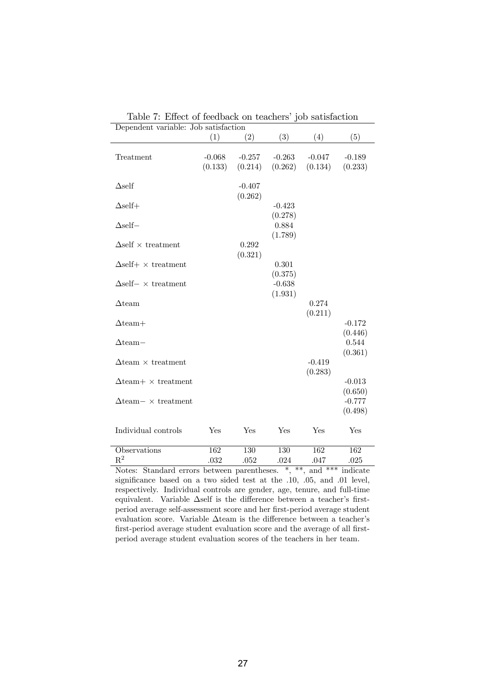| Dependent variable: Job satisfaction |          |          |          |          |                  |
|--------------------------------------|----------|----------|----------|----------|------------------|
|                                      | (1)      | (2)      | (3)      | (4)      | (5)              |
|                                      |          |          |          |          |                  |
| Treatment                            | $-0.068$ | $-0.257$ | $-0.263$ | $-0.047$ | $-0.189$         |
|                                      | (0.133)  | (0.214)  | (0.262)  | (0.134)  | (0.233)          |
|                                      |          |          |          |          |                  |
| $\Delta$ self                        |          | $-0.407$ |          |          |                  |
|                                      |          | (0.262)  |          |          |                  |
| $\Delta$ self+                       |          |          | $-0.423$ |          |                  |
|                                      |          |          | (0.278)  |          |                  |
| $\Delta$ self-                       |          |          | 0.884    |          |                  |
|                                      |          |          | (1.789)  |          |                  |
| $\Delta$ self $\times$ treatment     |          | 0.292    |          |          |                  |
|                                      |          | (0.321)  |          |          |                  |
| $\Delta$ self+ × treatment           |          |          | 0.301    |          |                  |
|                                      |          |          | (0.375)  |          |                  |
| $\Delta$ self- $\times$ treatment    |          |          | $-0.638$ |          |                  |
|                                      |          |          | (1.931)  |          |                  |
| $\Delta$ team                        |          |          |          | 0.274    |                  |
|                                      |          |          |          | (0.211)  |                  |
| $\Delta$ team+                       |          |          |          |          | $-0.172$         |
| $\Delta$ team-                       |          |          |          |          | (0.446)<br>0.544 |
|                                      |          |          |          |          | (0.361)          |
| $\Delta$ team $\times$ treatment     |          |          |          | $-0.419$ |                  |
|                                      |          |          |          | (0.283)  |                  |
| $\Delta$ team+ $\times$ treatment    |          |          |          |          | $-0.013$         |
|                                      |          |          |          |          | (0.650)          |
| $\Delta$ team – $\times$ treatment   |          |          |          |          | $-0.777$         |
|                                      |          |          |          |          | (0.498)          |
|                                      |          |          |          |          |                  |
| Individual controls                  | Yes      | Yes      | Yes      | Yes      | Yes              |
|                                      |          |          |          |          |                  |
| Observations                         | 162      | 130      | 130      | 162      | 162              |
| $\rm R^2$                            | .032     | .052     | .024     | .047     | .025             |

Table 7: Effect of feedback on teachers' job satisfaction

Notes: Standard errors between parentheses. \*, \*\*, and \*\*\* indicate significance based on a two sided test at the .10, .05, and .01 level, respectively. Individual controls are gender, age, tenure, and full-time equivalent. Variable  $\Delta$ self is the difference between a teacher's firstperiod average self-assessment score and her first-period average student evaluation score. Variable  $\Delta\textrm{team}$  is the difference between a teacher's first-period average student evaluation score and the average of all firstperiod average student evaluation scores of the teachers in her team.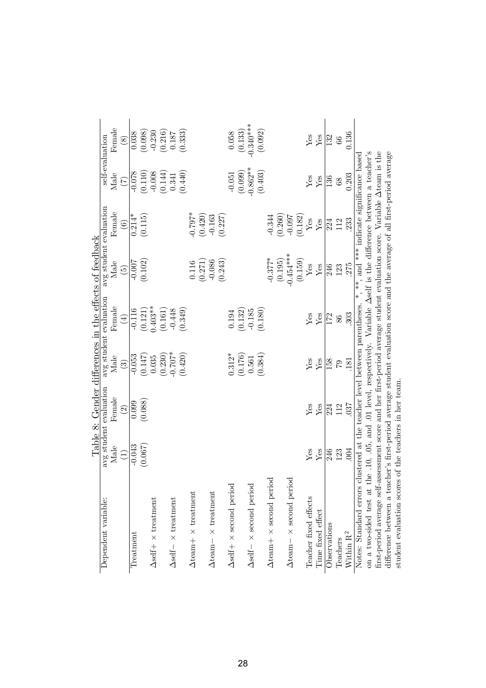|                                                                                                                          |                                                                                                 |               |                        |             | Table 8: Gender differences in the effects of feedback |                                       |                 |                          |
|--------------------------------------------------------------------------------------------------------------------------|-------------------------------------------------------------------------------------------------|---------------|------------------------|-------------|--------------------------------------------------------|---------------------------------------|-----------------|--------------------------|
| Dependent variable:                                                                                                      | avg student evaluation                                                                          |               | avg student evaluation |             | avg student evaluation                                 |                                       | self-evaluation |                          |
|                                                                                                                          | Male                                                                                            | Female        | Male                   | Female      | Male                                                   | Female                                | Male            | Female                   |
|                                                                                                                          | $\begin{array}{c} \square \end{array}$                                                          | $\widehat{c}$ | $\widehat{c}$          | $\bigoplus$ | $\widetilde{5}$                                        | $\widehat{6}$                         | $(\zeta)$       | $\circledS$              |
| Treatment                                                                                                                | $-0.043$                                                                                        | 0.099         | $-0.053$               | $-0.116$    | $-0.007$                                               | $0.214*$                              | $-0.078$        | 0.038                    |
|                                                                                                                          | (0.067)                                                                                         | (0.088)       | (0.147)                | (0.121)     | (0.102)                                                | (0.115)                               | (0.110)         | (0.098)                  |
| $\Delta \text{self+} \times \text{treatment}$                                                                            |                                                                                                 |               | 0.035                  | $0.403**$   |                                                        |                                       | $-0.008$        |                          |
|                                                                                                                          |                                                                                                 |               | (0.230)                | (0.161)     |                                                        |                                       | (0.144)         | $\frac{-0.230}{(0.216)}$ |
| $\Delta \text{self}-\times$ treatment                                                                                    |                                                                                                 |               | $-0.707*$              | $-0.448$    |                                                        |                                       | 0.341           |                          |
|                                                                                                                          |                                                                                                 |               | (0.420)                | (0.349)     |                                                        |                                       | (0.440)         | (0.333)                  |
| $\Delta$ team $+ \times$ treatment                                                                                       |                                                                                                 |               |                        |             | 0.116                                                  | $-0.797*$                             |                 |                          |
|                                                                                                                          |                                                                                                 |               |                        |             | (0.271)                                                | (0.420)                               |                 |                          |
| $\Delta$ team $- \times$ treatment                                                                                       |                                                                                                 |               |                        |             | $-0.086$                                               | $-0.163$                              |                 |                          |
|                                                                                                                          |                                                                                                 |               |                        |             | (0.243)                                                | (0.227)                               |                 |                          |
| $\Delta$ self+ $\times$ second period                                                                                    |                                                                                                 |               | $0.312*$               | 0.194       |                                                        |                                       | $-0.051$        | $0.058\,$                |
|                                                                                                                          |                                                                                                 |               | (0.176)                | (0.132)     |                                                        |                                       | (0.099)         | $(0.133)$<br>$-0.340***$ |
| $\Delta$ self – $\times$ second period                                                                                   |                                                                                                 |               | 0.561                  | $-0.185$    |                                                        |                                       | $-0.862**$      |                          |
|                                                                                                                          |                                                                                                 |               | (0.384)                | (0.180)     |                                                        |                                       | (0.403)         | (0.092)                  |
| $\Delta$ team+ × second period                                                                                           |                                                                                                 |               |                        |             | $-0.377*$                                              | $-0.344$                              |                 |                          |
|                                                                                                                          |                                                                                                 |               |                        |             | (0.195)                                                | (0.260)                               |                 |                          |
| $\Delta$ team $- \times$ second period                                                                                   |                                                                                                 |               |                        |             | $-0.454***$                                            | $-0.097$                              |                 |                          |
|                                                                                                                          |                                                                                                 |               |                        |             | (0.159)                                                | (0.182)                               |                 |                          |
| Teacher fixed effects                                                                                                    | ${\rm Yes}$                                                                                     | ${\rm Yes}$   | ${\rm Yes}$            | $\rm Yes$   | ${\rm Yes}$                                            | ${\rm Yes}$                           | ${\rm Yes}$     | ${\rm Yes}$              |
| Time fixed effect                                                                                                        | Yes                                                                                             | ${\rm Yes}$   | ${\rm Yes}$            | Yes         | ${\rm Yes}$                                            | ${\it Yes}$                           | ${\rm Yes}$     | ${\rm Yes}$              |
| Observations                                                                                                             | 246                                                                                             | 224           | 158                    | 172         | 246                                                    | 224                                   | 136             | 132                      |
| Teachers                                                                                                                 | 123                                                                                             | 112           | $\mathcal{C}$          | 86          | 123                                                    | 112                                   | 68              | 66                       |
| Within $\mathbf{R}^2$                                                                                                    | .004                                                                                            | 037           | .181                   | 303         | 275                                                    | 233                                   | 0.203           | 0.136                    |
| Notes: Standard errors                                                                                                   | clustered at the teacher level between parentheses.                                             |               |                        |             | $*$                                                    | , and *** indicate significance based |                 |                          |
| on a two-sided test at                                                                                                   | the .10, .05, and .01 level, respectively. Variable Aself is the difference between a teacher's |               |                        |             |                                                        |                                       |                 |                          |
| first-period average self-assessment score and her first-period average student evaluation score. Variable Ateam is the  |                                                                                                 |               |                        |             |                                                        |                                       |                 |                          |
| difference between a teacher's first-period average student evaluation score and the average of all first-period average |                                                                                                 |               |                        |             |                                                        |                                       |                 |                          |
| student evaluation scores of the teachers in her team.                                                                   |                                                                                                 |               |                        |             |                                                        |                                       |                 |                          |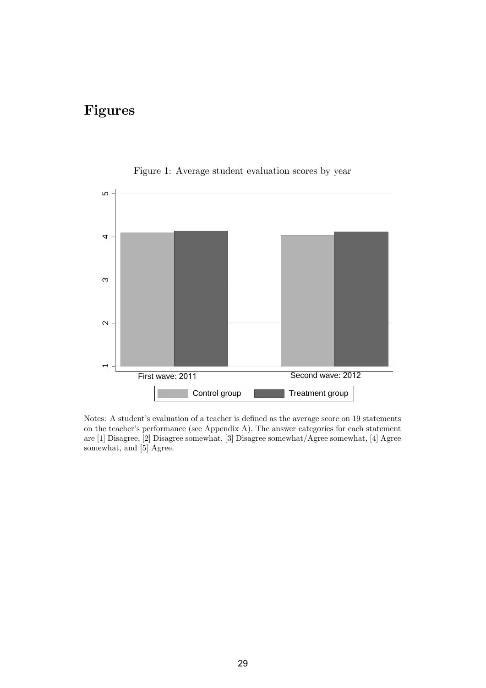## Figures



Figure 1: Average student evaluation scores by year

Notes: A student's evaluation of a teacher is defined as the average score on 19 statements on the teacher's performance (see Appendix A). The answer categories for each statement are [1] Disagree, [2] Disagree somewhat, [3] Disagree somewhat/Agree somewhat, [4] Agree somewhat, and [5] Agree.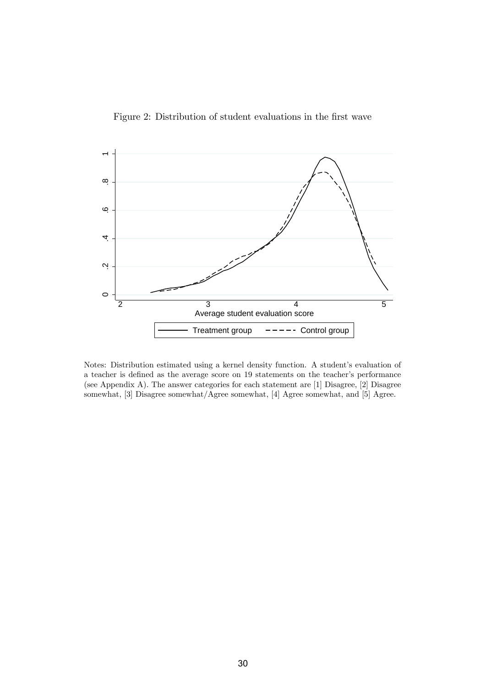Figure 2: Distribution of student evaluations in the first wave



Notes: Distribution estimated using a kernel density function. A student's evaluation of a teacher is defined as the average score on 19 statements on the teacher's performance (see Appendix A). The answer categories for each statement are [1] Disagree, [2] Disagree somewhat, [3] Disagree somewhat/Agree somewhat, [4] Agree somewhat, and [5] Agree.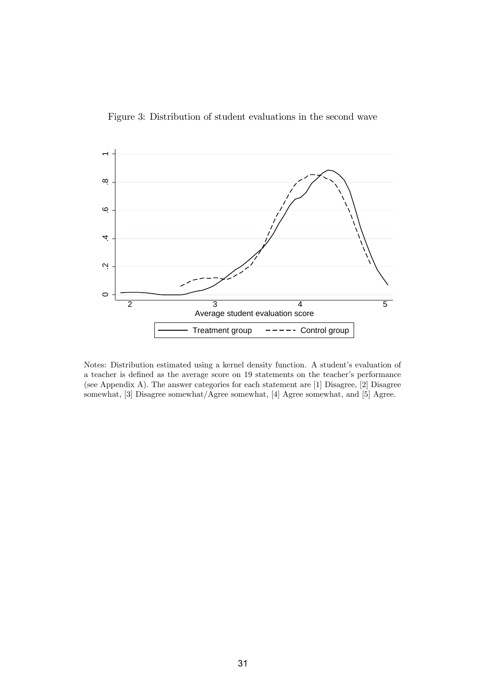Figure 3: Distribution of student evaluations in the second wave



Notes: Distribution estimated using a kernel density function. A student's evaluation of a teacher is defined as the average score on 19 statements on the teacher's performance (see Appendix A). The answer categories for each statement are [1] Disagree, [2] Disagree somewhat, [3] Disagree somewhat/Agree somewhat, [4] Agree somewhat, and [5] Agree.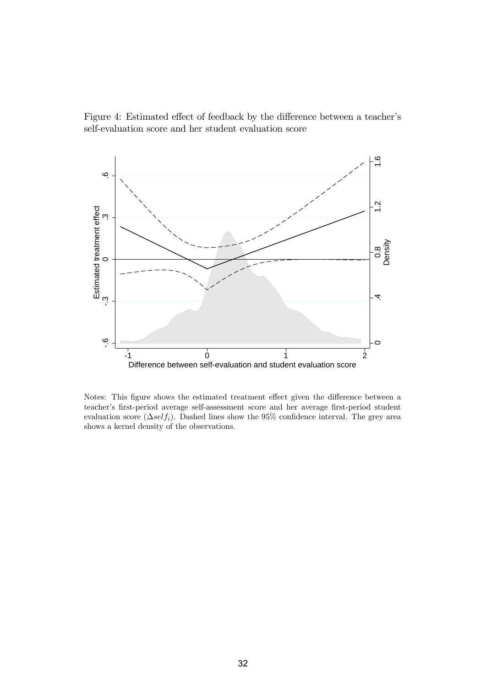Figure 4: Estimated effect of feedback by the difference between a teacher's self-evaluation score and her student evaluation score



Notes: This figure shows the estimated treatment effect given the difference between a teacher's first-period average self-assessment score and her average first-period student evaluation score  $(\Delta self_i)$ . Dashed lines show the 95% confidence interval. The grey area shows a kernel density of the observations.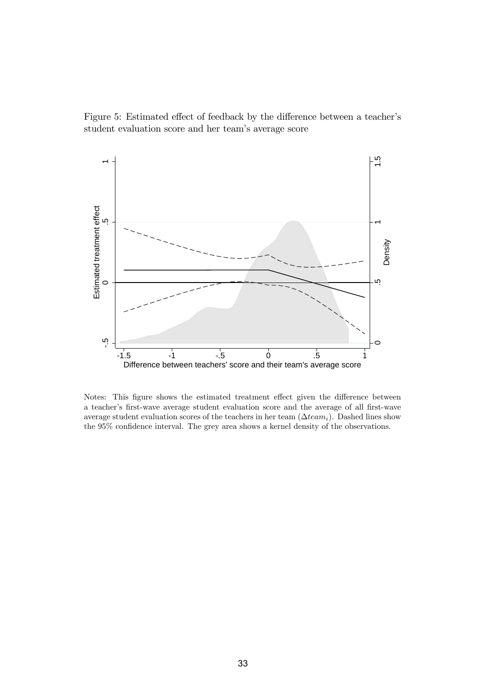Figure 5: Estimated effect of feedback by the difference between a teacher's student evaluation score and her team's average score



Notes: This figure shows the estimated treatment effect given the difference between a teacherís Örst-wave average student evaluation score and the average of all Örst-wave average student evaluation scores of the teachers in her team  $(\Delta team_i)$ . Dashed lines show the  $95\%$  confidence interval. The grey area shows a kernel density of the observations.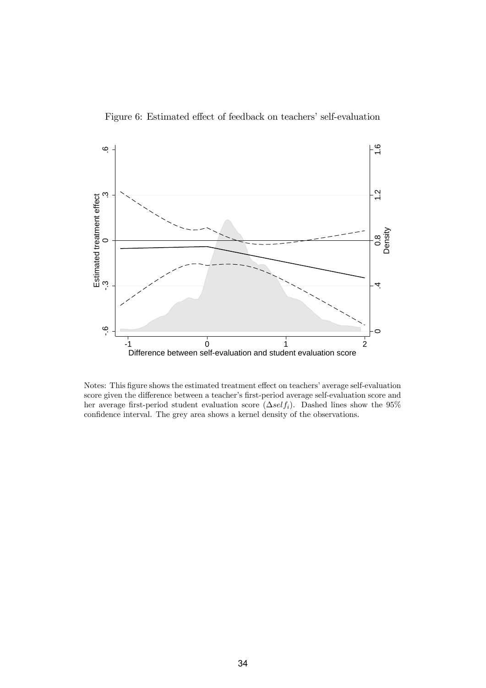



Notes: This figure shows the estimated treatment effect on teachers' average self-evaluation score given the difference between a teacher's first-period average self-evaluation score and her average first-period student evaluation score  $(\Delta self_i)$ . Dashed lines show the 95% confidence interval. The grey area shows a kernel density of the observations.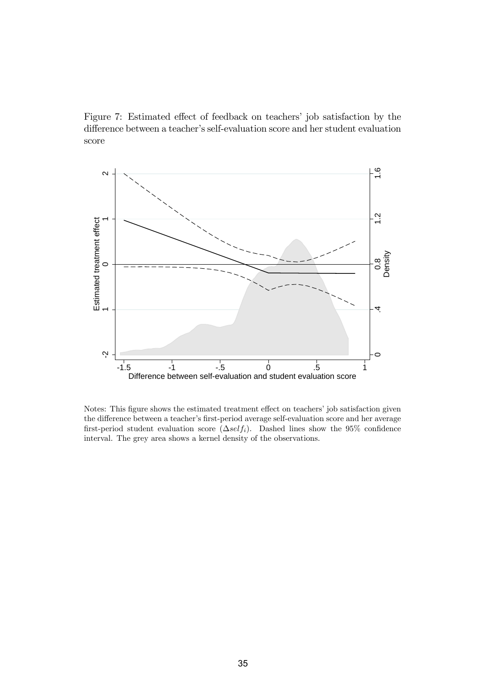Figure 7: Estimated effect of feedback on teachers' job satisfaction by the difference between a teacher's self-evaluation score and her student evaluation score



Notes: This figure shows the estimated treatment effect on teachers' job satisfaction given the difference between a teacher's first-period average self-evaluation score and her average first-period student evaluation score  $(\Delta self_i)$ . Dashed lines show the 95% confidence interval. The grey area shows a kernel density of the observations.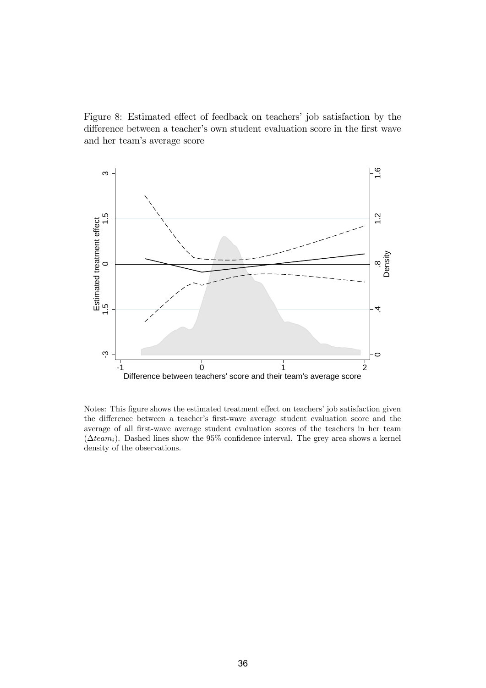Figure 8: Estimated effect of feedback on teachers' job satisfaction by the difference between a teacher's own student evaluation score in the first wave and her teamís average score



Notes: This figure shows the estimated treatment effect on teachers' job satisfaction given the difference between a teacher's first-wave average student evaluation score and the average of all Örst-wave average student evaluation scores of the teachers in her team ( $\Delta team_i$ ). Dashed lines show the 95% confidence interval. The grey area shows a kernel density of the observations.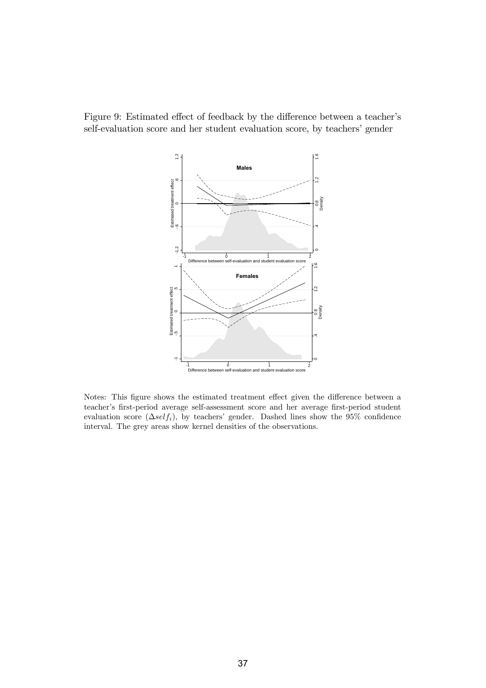



Notes: This figure shows the estimated treatment effect given the difference between a teacher's first-period average self-assessment score and her average first-period student evaluation score  $(\Delta self_i)$ , by teachers' gender. Dashed lines show the 95% confidence interval. The grey areas show kernel densities of the observations.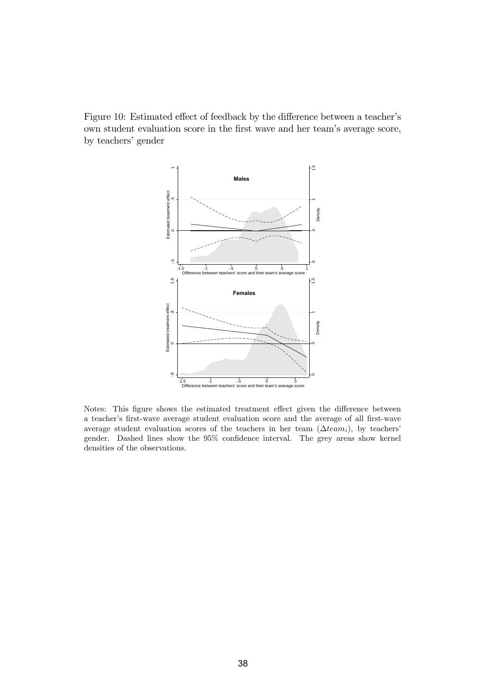Figure 10: Estimated effect of feedback by the difference between a teacher's own student evaluation score in the first wave and her team's average score, by teachers' gender



Notes: This figure shows the estimated treatment effect given the difference between a teacherís Örst-wave average student evaluation score and the average of all Örst-wave average student evaluation scores of the teachers in her team  $(\Delta team_i)$ , by teachers' gender. Dashed lines show the 95% confidence interval. The grey areas show kernel densities of the observations.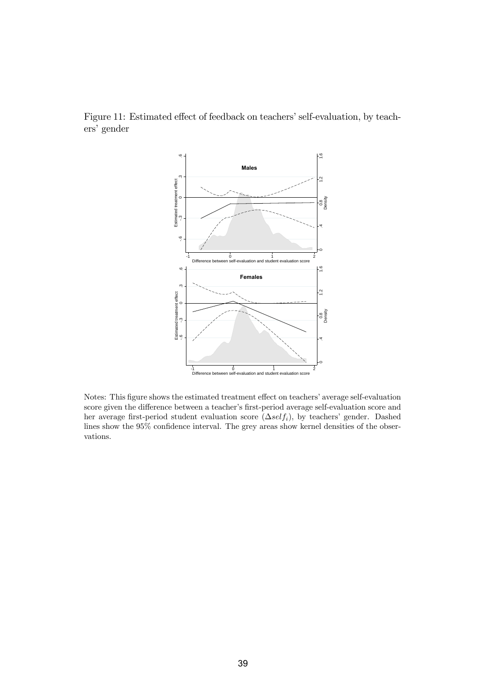

Figure 11: Estimated effect of feedback on teachers' self-evaluation, by teachers' gender

Notes: This figure shows the estimated treatment effect on teachers' average self-evaluation score given the difference between a teacher's first-period average self-evaluation score and her average first-period student evaluation score  $(\Delta self_i)$ , by teachers' gender. Dashed lines show the  $95\%$  confidence interval. The grey areas show kernel densities of the observations.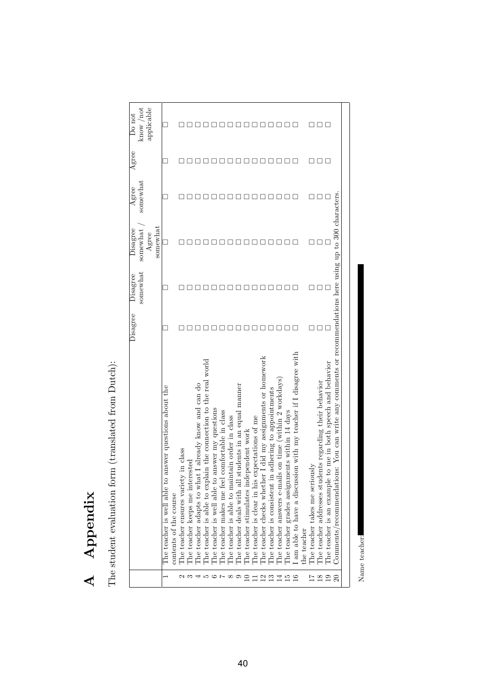| ۶<br>ì<br>A r |  |
|---------------|--|
|               |  |

The student evaluation form (translated from Dutch):

|                 |                                                                                                                                                                                                                               | Disagree | somewhat<br>Disagree | somewhat<br>Disagree<br>somewhat<br>Agree | somewhat<br>Agree | Agree | applicable<br>know / not<br>Do not |
|-----------------|-------------------------------------------------------------------------------------------------------------------------------------------------------------------------------------------------------------------------------|----------|----------------------|-------------------------------------------|-------------------|-------|------------------------------------|
|                 | The teacher is well able to answer questions about the<br>contents of the course                                                                                                                                              |          |                      | ٠                                         |                   |       |                                    |
|                 | The teacher ensures variety in class                                                                                                                                                                                          |          |                      |                                           |                   |       |                                    |
|                 | The teacher keeps me interested                                                                                                                                                                                               |          |                      |                                           |                   |       |                                    |
|                 | already know and can do<br>The teacher adapts to what I                                                                                                                                                                       |          |                      |                                           |                   |       |                                    |
|                 | The teacher is able to explain the connection to the real world The teacher is well able to answer my questions                                                                                                               |          |                      |                                           |                   |       |                                    |
|                 |                                                                                                                                                                                                                               |          |                      |                                           |                   |       |                                    |
|                 |                                                                                                                                                                                                                               |          |                      |                                           |                   |       |                                    |
|                 |                                                                                                                                                                                                                               |          |                      |                                           |                   |       |                                    |
|                 | The teacher makes me feel comfortable in class The teacher is able to maintain order in class The teacher deals with all students in an equal manner The teacher stimulates independent work The teacher is clear in his expe |          |                      |                                           |                   |       |                                    |
|                 |                                                                                                                                                                                                                               |          |                      |                                           |                   |       |                                    |
|                 |                                                                                                                                                                                                                               |          |                      |                                           |                   |       |                                    |
| 22152           | The teacher checks whether I did my assignments or homework                                                                                                                                                                   |          |                      |                                           |                   |       |                                    |
|                 | The teacher is consistent in adhering to appointments<br>The teacher answers e-mails on time (within 2 workda                                                                                                                 |          |                      |                                           |                   |       |                                    |
|                 | on time (within 2 workdays)                                                                                                                                                                                                   |          |                      |                                           |                   |       |                                    |
|                 | The teacher grades assignments within 14 days                                                                                                                                                                                 |          |                      |                                           |                   |       |                                    |
|                 | am able to have a discussion with my teacher if I disagree with                                                                                                                                                               |          |                      |                                           |                   |       |                                    |
|                 | he teacher                                                                                                                                                                                                                    |          |                      |                                           |                   |       |                                    |
| $\frac{27}{18}$ | The teacher takes me seriously                                                                                                                                                                                                |          |                      |                                           |                   |       |                                    |
|                 | ts regarding their behavior<br>The teacher addresses student                                                                                                                                                                  |          |                      |                                           |                   |       | ┒                                  |
| 19              | me in both speech and behavior<br>The teacher is an example to                                                                                                                                                                |          |                      |                                           |                   |       |                                    |
| $\Omega$        | You can write any comments or recommendations here using up to 300 characters.<br>Commonents/recommandations                                                                                                                  |          |                      |                                           |                   |       |                                    |
|                 |                                                                                                                                                                                                                               |          |                      |                                           |                   |       |                                    |

Name teacher: Name teacher: